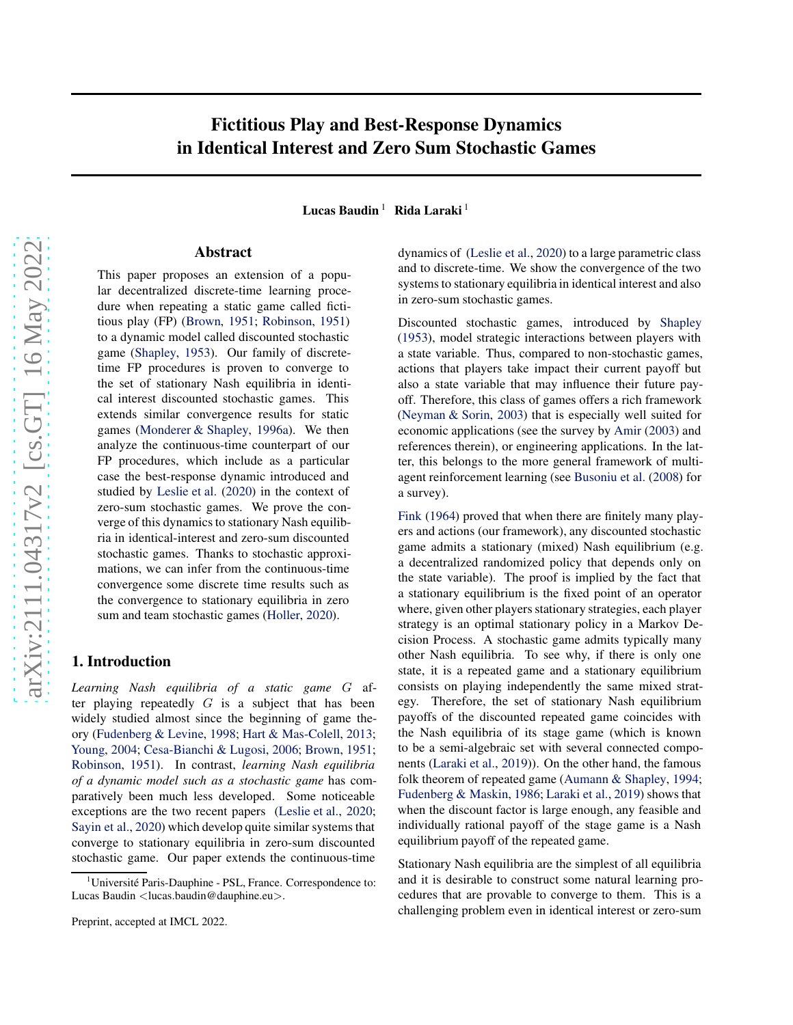# arXiv:2111.04317v2 [cs.GT] 16 May 2022 [arXiv:2111.04317v2 \[cs.GT\] 16 May 2022](http://arxiv.org/abs/2111.04317v2)

# Fictitious Play and Best-Response Dynamics in Identical Interest and Zero Sum Stochastic Games

Lucas Baudin<sup>1</sup> Rida Laraki<sup>1</sup>

### Abstract

This paper proposes an extension of a popular decentralized discrete-time learning procedure when repeating a static game called fictitious play (FP) [\(Brown,](#page-8-0) [1951;](#page-8-0) [Robinson,](#page-10-0) [1951\)](#page-10-0) to a dynamic model called discounted stochastic game [\(Shapley](#page-10-1), [1953\)](#page-10-1). Our family of discretetime FP procedures is proven to converge to the set of stationary Nash equilibria in identical interest discounted stochastic games. This extends similar convergence results for static games [\(Monderer & Shapley,](#page-9-0) [1996a\)](#page-9-0). We then analyze the continuous-time counterpart of our FP procedures, which include as a particular case the best-response dynamic introduced and studied by [Leslie et al.](#page-9-1) [\(2020\)](#page-9-1) in the context of zero-sum stochastic games. We prove the converge of this dynamics to stationary Nash equilibria in identical-interest and zero-sum discounted stochastic games. Thanks to stochastic approximations, we can infer from the continuous-time convergence some discrete time results such as the convergence to stationary equilibria in zero sum and team stochastic games [\(Holler,](#page-9-2) [2020\)](#page-9-2).

### 1. Introduction

*Learning Nash equilibria of a static game* G after playing repeatedly  $G$  is a subject that has been widely studied almost since the beginning of game theory [\(Fudenberg & Levine](#page-8-1), [1998](#page-8-1); [Hart & Mas-Colell,](#page-9-3) [2013;](#page-9-3) [Young,](#page-10-2) [2004;](#page-10-2) [Cesa-Bianchi & Lugosi](#page-8-2), [2006;](#page-8-2) [Brown,](#page-8-0) [1951;](#page-8-0) [Robinson,](#page-10-0) [1951\)](#page-10-0). In contrast, *learning Nash equilibria of a dynamic model such as a stochastic game* has comparatively been much less developed. Some noticeable exceptions are the two recent papers [\(Leslie et al.,](#page-9-1) [2020;](#page-9-1) [Sayin et al.,](#page-10-3) [2020\)](#page-10-3) which develop quite similar systems that converge to stationary equilibria in zero-sum discounted stochastic game. Our paper extends the continuous-time

dynamics of [\(Leslie et al.,](#page-9-1) [2020](#page-9-1)) to a large parametric class and to discrete-time. We show the convergence of the two systems to stationary equilibria in identical interest and also in zero-sum stochastic games.

Discounted stochastic games, introduced by [Shapley](#page-10-1) [\(1953\)](#page-10-1), model strategic interactions between players with a state variable. Thus, compared to non-stochastic games, actions that players take impact their current payoff but also a state variable that may influence their future payoff. Therefore, this class of games offers a rich framework [\(Neyman & Sorin](#page-9-4), [2003](#page-9-4)) that is especially well suited for economic applications (see the survey by [Amir](#page-8-3) [\(2003](#page-8-3)) and references therein), or engineering applications. In the latter, this belongs to the more general framework of multiagent reinforcement learning (see [Busoniu et al.](#page-8-4) [\(2008\)](#page-8-4) for a survey).

[Fink](#page-8-5) [\(1964\)](#page-8-5) proved that when there are finitely many players and actions (our framework), any discounted stochastic game admits a stationary (mixed) Nash equilibrium (e.g. a decentralized randomized policy that depends only on the state variable). The proof is implied by the fact that a stationary equilibrium is the fixed point of an operator where, given other players stationary strategies, each player strategy is an optimal stationary policy in a Markov Decision Process. A stochastic game admits typically many other Nash equilibria. To see why, if there is only one state, it is a repeated game and a stationary equilibrium consists on playing independently the same mixed strategy. Therefore, the set of stationary Nash equilibrium payoffs of the discounted repeated game coincides with the Nash equilibria of its stage game (which is known to be a semi-algebraic set with several connected components [\(Laraki et al.](#page-9-5), [2019\)](#page-9-5)). On the other hand, the famous folk theorem of repeated game [\(Aumann & Shapley,](#page-8-6) [1994;](#page-8-6) Fudenberg & Maskin, 1986; [Laraki et al.,](#page-9-5) [2019\)](#page-9-5) shows that when the discount factor is large enough, any feasible and individually rational payoff of the stage game is a Nash equilibrium payoff of the repeated game.

Stationary Nash equilibria are the simplest of all equilibria and it is desirable to construct some natural learning procedures that are provable to converge to them. This is a challenging problem even in identical interest or zero-sum

Université Paris-Dauphine - PSL, France. Correspondence to: Lucas Baudin <lucas.baudin@dauphine.eu>.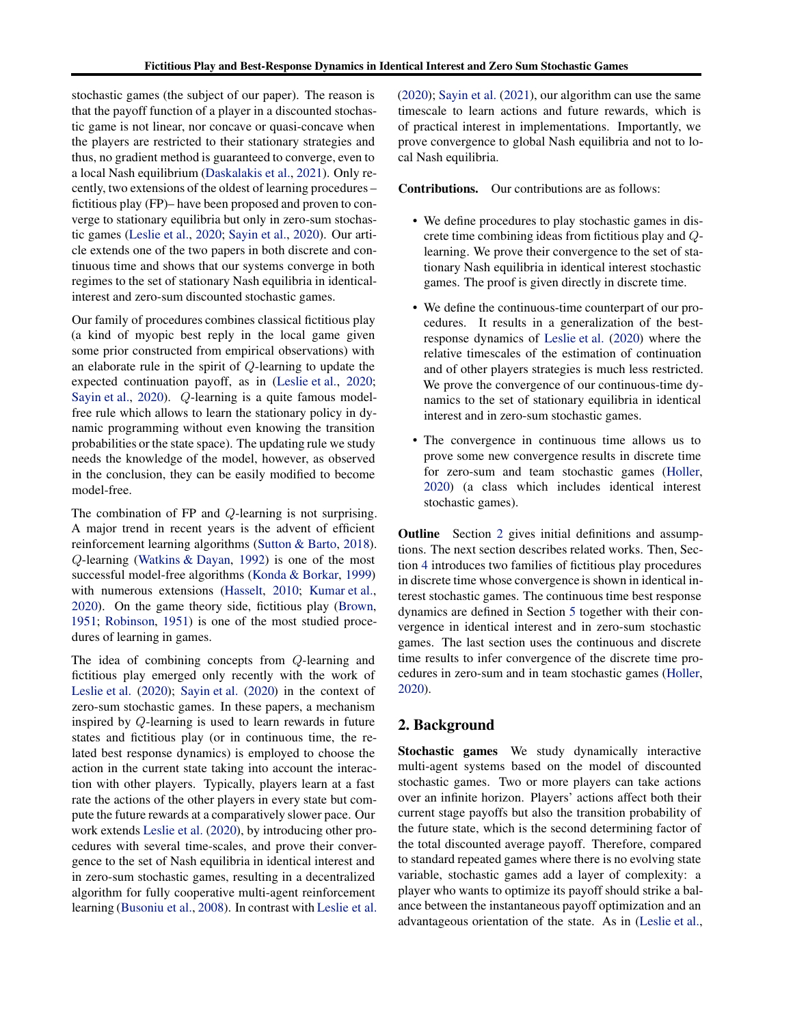stochastic games (the subject of our paper). The reason is that the payoff function of a player in a discounted stochastic game is not linear, nor concave or quasi-concave when the players are restricted to their stationary strategies and thus, no gradient method is guaranteed to converge, even to a local Nash equilibrium [\(Daskalakis et al.](#page-8-7), [2021](#page-8-7)). Only recently, two extensions of the oldest of learning procedures – fictitious play (FP)– have been proposed and proven to converge to stationary equilibria but only in zero-sum stochastic games [\(Leslie et al.,](#page-9-1) [2020](#page-9-1); [Sayin et al.](#page-10-3), [2020\)](#page-10-3). Our article extends one of the two papers in both discrete and continuous time and shows that our systems converge in both regimes to the set of stationary Nash equilibria in identicalinterest and zero-sum discounted stochastic games.

Our family of procedures combines classical fictitious play (a kind of myopic best reply in the local game given some prior constructed from empirical observations) with an elaborate rule in the spirit of Q-learning to update the expected continuation payoff, as in [\(Leslie et al.](#page-9-1), [2020;](#page-9-1) [Sayin et al.,](#page-10-3) [2020](#page-10-3)). Q-learning is a quite famous modelfree rule which allows to learn the stationary policy in dynamic programming without even knowing the transition probabilities or the state space). The updating rule we study needs the knowledge of the model, however, as observed in the conclusion, they can be easily modified to become model-free.

The combination of FP and Q-learning is not surprising. A major trend in recent years is the advent of efficient reinforcement learning algorithms [\(Sutton & Barto,](#page-10-4) [2018\)](#page-10-4). Q-learning [\(Watkins & Dayan,](#page-10-5) [1992\)](#page-10-5) is one of the most successful model-free algorithms [\(Konda & Borkar,](#page-9-6) [1999\)](#page-9-6) with numerous extensions [\(Hasselt,](#page-9-7) [2010;](#page-9-7) [Kumar et al.](#page-9-8), [2020\)](#page-9-8). On the game theory side, fictitious play [\(Brown](#page-8-0), [1951;](#page-8-0) [Robinson,](#page-10-0) [1951\)](#page-10-0) is one of the most studied procedures of learning in games.

The idea of combining concepts from Q-learning and fictitious play emerged only recently with the work of [Leslie et al.](#page-9-1) [\(2020](#page-9-1)); [Sayin et al.](#page-10-3) [\(2020\)](#page-10-3) in the context of zero-sum stochastic games. In these papers, a mechanism inspired by Q-learning is used to learn rewards in future states and fictitious play (or in continuous time, the related best response dynamics) is employed to choose the action in the current state taking into account the interaction with other players. Typically, players learn at a fast rate the actions of the other players in every state but compute the future rewards at a comparatively slower pace. Our work extends [Leslie et al.](#page-9-1) [\(2020\)](#page-9-1), by introducing other procedures with several time-scales, and prove their convergence to the set of Nash equilibria in identical interest and in zero-sum stochastic games, resulting in a decentralized algorithm for fully cooperative multi-agent reinforcement learning [\(Busoniu et al.](#page-8-4), [2008\)](#page-8-4). In contrast with [Leslie et al.](#page-9-1) [\(2020\)](#page-9-1); [Sayin et al.](#page-10-6) [\(2021](#page-10-6)), our algorithm can use the same timescale to learn actions and future rewards, which is of practical interest in implementations. Importantly, we prove convergence to global Nash equilibria and not to local Nash equilibria.

Contributions. Our contributions are as follows:

- We define procedures to play stochastic games in discrete time combining ideas from fictitious play and Qlearning. We prove their convergence to the set of stationary Nash equilibria in identical interest stochastic games. The proof is given directly in discrete time.
- We define the continuous-time counterpart of our procedures. It results in a generalization of the bestresponse dynamics of [Leslie et al.](#page-9-1) [\(2020\)](#page-9-1) where the relative timescales of the estimation of continuation and of other players strategies is much less restricted. We prove the convergence of our continuous-time dynamics to the set of stationary equilibria in identical interest and in zero-sum stochastic games.
- The convergence in continuous time allows us to prove some new convergence results in discrete time for zero-sum and team stochastic games [\(Holler](#page-9-2), [2020\)](#page-9-2) (a class which includes identical interest stochastic games).

Outline Section [2](#page-1-0) gives initial definitions and assumptions. The next section describes related works. Then, Section [4](#page-4-0) introduces two families of fictitious play procedures in discrete time whose convergence is shown in identical interest stochastic games. The continuous time best response dynamics are defined in Section [5](#page-5-0) together with their convergence in identical interest and in zero-sum stochastic games. The last section uses the continuous and discrete time results to infer convergence of the discrete time procedures in zero-sum and in team stochastic games [\(Holler](#page-9-2), [2020\)](#page-9-2).

# <span id="page-1-0"></span>2. Background

Stochastic games We study dynamically interactive multi-agent systems based on the model of discounted stochastic games. Two or more players can take actions over an infinite horizon. Players' actions affect both their current stage payoffs but also the transition probability of the future state, which is the second determining factor of the total discounted average payoff. Therefore, compared to standard repeated games where there is no evolving state variable, stochastic games add a layer of complexity: a player who wants to optimize its payoff should strike a balance between the instantaneous payoff optimization and an advantageous orientation of the state. As in [\(Leslie et al.](#page-9-1),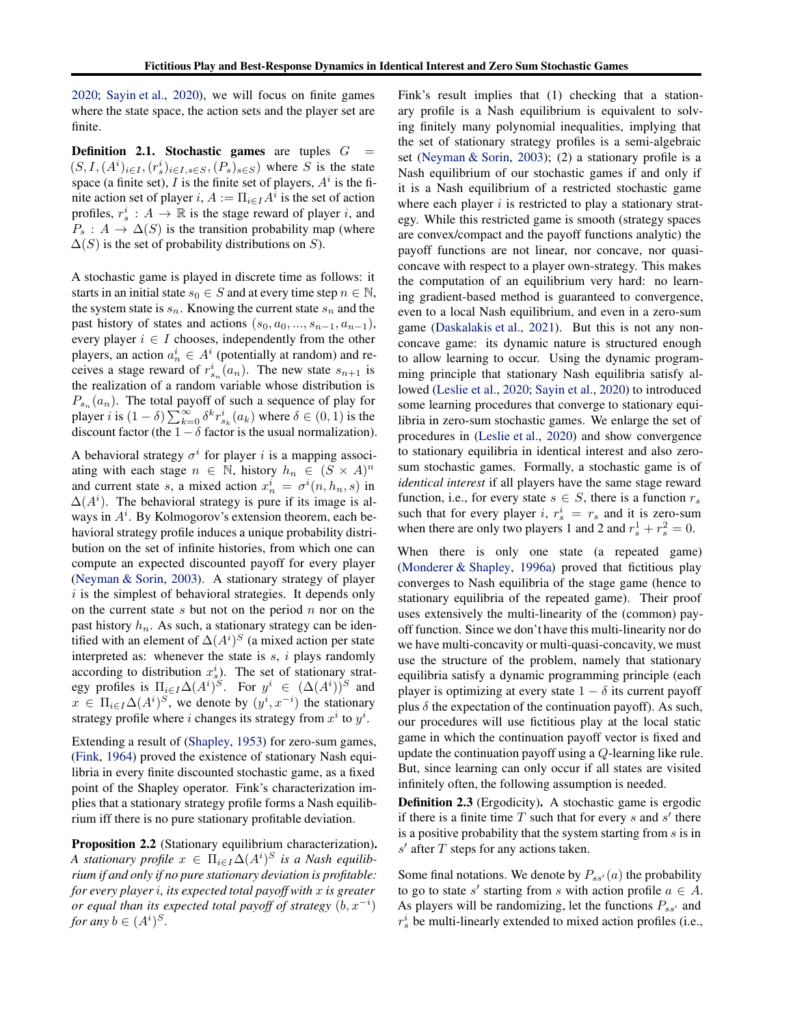[2020;](#page-9-1) [Sayin et al.,](#page-10-3) [2020\)](#page-10-3), we will focus on finite games where the state space, the action sets and the player set are finite.

**Definition 2.1. Stochastic games** are tuples  $G =$  $(S, I, (A^i)_{i \in I}, (r_s^i)_{i \in I, s \in S}, (P_s)_{s \in S})$  where S is the state space (a finite set), I is the finite set of players,  $A^i$  is the finite action set of player  $i, A := \prod_{i \in I} A^i$  is the set of action profiles,  $r_s^i : A \to \mathbb{R}$  is the stage reward of player i, and  $P_s: A \to \Delta(S)$  is the transition probability map (where  $\Delta(S)$  is the set of probability distributions on S).

A stochastic game is played in discrete time as follows: it starts in an initial state  $s_0 \in S$  and at every time step  $n \in \mathbb{N}$ , the system state is  $s_n$ . Knowing the current state  $s_n$  and the past history of states and actions  $(s_0, a_0, ..., s_{n-1}, a_{n-1}),$ every player  $i \in I$  chooses, independently from the other players, an action  $a_n^i \in A^i$  (potentially at random) and receives a stage reward of  $r_{s_n}^i(a_n)$ . The new state  $s_{n+1}$  is the realization of a random variable whose distribution is  $P_{s_n}(a_n)$ . The total payoff of such a sequence of play for player *i* is  $(1 - \delta) \sum_{k=0}^{\infty} \delta^k r_{s_k}^i(a_k)$  where  $\delta \in (0, 1)$  is the discount factor (the  $1 - \delta$  factor is the usual normalization).

A behavioral strategy  $\sigma^i$  for player i is a mapping associating with each stage  $n \in \mathbb{N}$ , history  $h_n \in (S \times A)^n$ and current state s, a mixed action  $x_n^i = \sigma^i(n, h_n, s)$  in  $\Delta(A^i)$ . The behavioral strategy is pure if its image is always in  $A^i$ . By Kolmogorov's extension theorem, each behavioral strategy profile induces a unique probability distribution on the set of infinite histories, from which one can compute an expected discounted payoff for every player [\(Neyman & Sorin](#page-9-4), [2003\)](#page-9-4). A stationary strategy of player  $i$  is the simplest of behavioral strategies. It depends only on the current state  $s$  but not on the period  $n$  nor on the past history  $h_n$ . As such, a stationary strategy can be identified with an element of  $\Delta(A^i)^S$  (a mixed action per state interpreted as: whenever the state is  $s$ ,  $i$  plays randomly according to distribution  $x_s^i$ ). The set of stationary strategy profiles is  $\prod_{i \in I} \Delta(A^i)^S$ . For  $y^i \in (\Delta(A^i))^S$  and  $x \in \Pi_{i \in I} \Delta(A^i)^S$ , we denote by  $(y^i, x^{-i})$  the stationary strategy profile where *i* changes its strategy from  $x^i$  to  $y^i$ .

Extending a result of [\(Shapley,](#page-10-1) [1953\)](#page-10-1) for zero-sum games, [\(Fink,](#page-8-5) [1964](#page-8-5)) proved the existence of stationary Nash equilibria in every finite discounted stochastic game, as a fixed point of the Shapley operator. Fink's characterization implies that a stationary strategy profile forms a Nash equilibrium iff there is no pure stationary profitable deviation.

Proposition 2.2 (Stationary equilibrium characterization). *A* stationary profile  $x \in \Pi_{i \in I} \Delta(A^i)^S$  is a Nash equilib*rium if and only if no pure stationary deviation is profitable: for every player* i*, its expected total payoff with* x *is greater or equal than its expected total payoff of strategy*  $(b, x^{-i})$ *for any*  $b \in (A^i)^S$ .

Fink's result implies that (1) checking that a stationary profile is a Nash equilibrium is equivalent to solving finitely many polynomial inequalities, implying that the set of stationary strategy profiles is a semi-algebraic set [\(Neyman & Sorin,](#page-9-4) [2003\)](#page-9-4); (2) a stationary profile is a Nash equilibrium of our stochastic games if and only if it is a Nash equilibrium of a restricted stochastic game where each player  $i$  is restricted to play a stationary strategy. While this restricted game is smooth (strategy spaces are convex/compact and the payoff functions analytic) the payoff functions are not linear, nor concave, nor quasiconcave with respect to a player own-strategy. This makes the computation of an equilibrium very hard: no learning gradient-based method is guaranteed to convergence, even to a local Nash equilibrium, and even in a zero-sum game [\(Daskalakis et al.,](#page-8-7) [2021\)](#page-8-7). But this is not any nonconcave game: its dynamic nature is structured enough to allow learning to occur. Using the dynamic programming principle that stationary Nash equilibria satisfy allowed [\(Leslie et al.,](#page-9-1) [2020;](#page-9-1) [Sayin et al.](#page-10-3), [2020\)](#page-10-3) to introduced some learning procedures that converge to stationary equilibria in zero-sum stochastic games. We enlarge the set of procedures in [\(Leslie et al.,](#page-9-1) [2020](#page-9-1)) and show convergence to stationary equilibria in identical interest and also zerosum stochastic games. Formally, a stochastic game is of *identical interest* if all players have the same stage reward function, i.e., for every state  $s \in S$ , there is a function  $r_s$ such that for every player *i*,  $r_s^i = r_s$  and it is zero-sum when there are only two players 1 and 2 and  $r_s^1 + r_s^2 = 0$ .

When there is only one state (a repeated game) [\(Monderer & Shapley,](#page-9-0) [1996a\)](#page-9-0) proved that fictitious play converges to Nash equilibria of the stage game (hence to stationary equilibria of the repeated game). Their proof uses extensively the multi-linearity of the (common) payoff function. Since we don't have this multi-linearity nor do we have multi-concavity or multi-quasi-concavity, we must use the structure of the problem, namely that stationary equilibria satisfy a dynamic programming principle (each player is optimizing at every state  $1 - \delta$  its current payoff plus  $\delta$  the expectation of the continuation payoff). As such, our procedures will use fictitious play at the local static game in which the continuation payoff vector is fixed and update the continuation payoff using a Q-learning like rule. But, since learning can only occur if all states are visited infinitely often, the following assumption is needed.

Definition 2.3 (Ergodicity). A stochastic game is ergodic if there is a finite time  $T$  such that for every  $s$  and  $s'$  there is a positive probability that the system starting from  $s$  is in  $s'$  after  $T$  steps for any actions taken.

Some final notations. We denote by  $P_{ss'}(a)$  the probability to go to state s' starting from s with action profile  $a \in A$ . As players will be randomizing, let the functions  $P_{ss'}$  and  $r_s^i$  be multi-linearly extended to mixed action profiles (i.e.,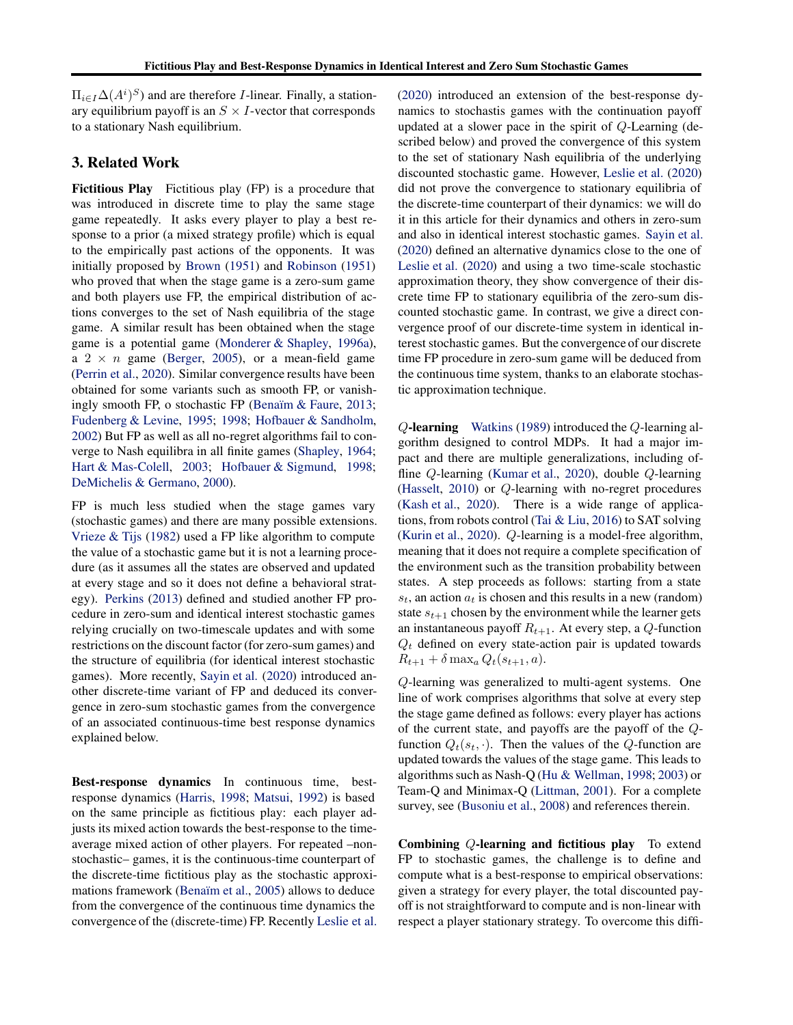$\Pi_{i\in I}\Delta(A^i)^S$  and are therefore *I*-linear. Finally, a stationary equilibrium payoff is an  $S \times I$ -vector that corresponds to a stationary Nash equilibrium.

# 3. Related Work

Fictitious Play Fictitious play (FP) is a procedure that was introduced in discrete time to play the same stage game repeatedly. It asks every player to play a best response to a prior (a mixed strategy profile) which is equal to the empirically past actions of the opponents. It was initially proposed by [Brown](#page-8-0) [\(1951](#page-8-0)) and [Robinson](#page-10-0) [\(1951\)](#page-10-0) who proved that when the stage game is a zero-sum game and both players use FP, the empirical distribution of actions converges to the set of Nash equilibria of the stage game. A similar result has been obtained when the stage game is a potential game [\(Monderer & Shapley,](#page-9-0) [1996a\)](#page-9-0), a  $2 \times n$  game [\(Berger,](#page-8-8) [2005\)](#page-8-8), or a mean-field game [\(Perrin et al.,](#page-10-7) [2020\)](#page-10-7). Similar convergence results have been obtained for some variants such as smooth FP, or vanishingly smooth FP, o stochastic FP (Benaïm  $&$  Faure, [2013;](#page-8-9) [Fudenberg & Levine](#page-8-10), [1995;](#page-8-10) [1998;](#page-8-1) [Hofbauer & Sandholm](#page-9-9), [2002\)](#page-9-9) But FP as well as all no-regret algorithms fail to converge to Nash equilibra in all finite games [\(Shapley](#page-10-8), [1964;](#page-10-8) Hart & Mas-Colell, 2003; [Hofbauer & Sigmund,](#page-9-10) [1998;](#page-9-10) [DeMichelis & Germano,](#page-8-11) [2000\)](#page-8-11).

FP is much less studied when the stage games vary (stochastic games) and there are many possible extensions. [Vrieze & Tijs](#page-10-9) [\(1982\)](#page-10-9) used a FP like algorithm to compute the value of a stochastic game but it is not a learning procedure (as it assumes all the states are observed and updated at every stage and so it does not define a behavioral strategy). [Perkins](#page-9-11) [\(2013\)](#page-9-11) defined and studied another FP procedure in zero-sum and identical interest stochastic games relying crucially on two-timescale updates and with some restrictions on the discount factor (for zero-sum games) and the structure of equilibria (for identical interest stochastic games). More recently, [Sayin et al.](#page-10-3) [\(2020\)](#page-10-3) introduced another discrete-time variant of FP and deduced its convergence in zero-sum stochastic games from the convergence of an associated continuous-time best response dynamics explained below.

Best-response dynamics In continuous time, bestresponse dynamics [\(Harris,](#page-8-12) [1998;](#page-8-12) [Matsui,](#page-9-12) [1992\)](#page-9-12) is based on the same principle as fictitious play: each player adjusts its mixed action towards the best-response to the timeaverage mixed action of other players. For repeated –nonstochastic– games, it is the continuous-time counterpart of the discrete-time fictitious play as the stochastic approxi-mations framework (Benaïm et al., [2005\)](#page-8-13) allows to deduce from the convergence of the continuous time dynamics the convergence of the (discrete-time) FP. Recently [Leslie et al.](#page-9-1) [\(2020\)](#page-9-1) introduced an extension of the best-response dynamics to stochastis games with the continuation payoff updated at a slower pace in the spirit of Q-Learning (described below) and proved the convergence of this system to the set of stationary Nash equilibria of the underlying discounted stochastic game. However, [Leslie et al.](#page-9-1) [\(2020\)](#page-9-1) did not prove the convergence to stationary equilibria of the discrete-time counterpart of their dynamics: we will do it in this article for their dynamics and others in zero-sum and also in identical interest stochastic games. [Sayin et al.](#page-10-3) [\(2020\)](#page-10-3) defined an alternative dynamics close to the one of [Leslie et al.](#page-9-1) [\(2020\)](#page-9-1) and using a two time-scale stochastic approximation theory, they show convergence of their discrete time FP to stationary equilibria of the zero-sum discounted stochastic game. In contrast, we give a direct convergence proof of our discrete-time system in identical interest stochastic games. But the convergence of our discrete time FP procedure in zero-sum game will be deduced from the continuous time system, thanks to an elaborate stochastic approximation technique.

Q-learning [Watkins](#page-10-10) [\(1989\)](#page-10-10) introduced the Q-learning algorithm designed to control MDPs. It had a major impact and there are multiple generalizations, including offline Q-learning [\(Kumar et al.,](#page-9-8) [2020](#page-9-8)), double Q-learning [\(Hasselt,](#page-9-7) [2010\)](#page-9-7) or Q-learning with no-regret procedures [\(Kash et al.,](#page-9-13) [2020](#page-9-13)). There is a wide range of applications, from robots control [\(Tai & Liu,](#page-10-11) [2016](#page-10-11)) to SAT solving [\(Kurin et al.](#page-9-14), [2020\)](#page-9-14). Q-learning is a model-free algorithm, meaning that it does not require a complete specification of the environment such as the transition probability between states. A step proceeds as follows: starting from a state  $s_t$ , an action  $a_t$  is chosen and this results in a new (random) state  $s_{t+1}$  chosen by the environment while the learner gets an instantaneous payoff  $R_{t+1}$ . At every step, a Q-function  $Q_t$  defined on every state-action pair is updated towards  $R_{t+1} + \delta \max_a Q_t(s_{t+1}, a).$ 

Q-learning was generalized to multi-agent systems. One line of work comprises algorithms that solve at every step the stage game defined as follows: every player has actions of the current state, and payoffs are the payoff of the Qfunction  $Q_t(s_t, \cdot)$ . Then the values of the Q-function are updated towards the values of the stage game. This leads to algorithms such as Nash-Q [\(Hu & Wellman](#page-9-15), [1998;](#page-9-15) [2003](#page-9-16)) or Team-Q and Minimax-Q [\(Littman,](#page-9-17) [2001\)](#page-9-17). For a complete survey, see [\(Busoniu et al.,](#page-8-4) [2008\)](#page-8-4) and references therein.

Combining Q-learning and fictitious play To extend FP to stochastic games, the challenge is to define and compute what is a best-response to empirical observations: given a strategy for every player, the total discounted payoff is not straightforward to compute and is non-linear with respect a player stationary strategy. To overcome this diffi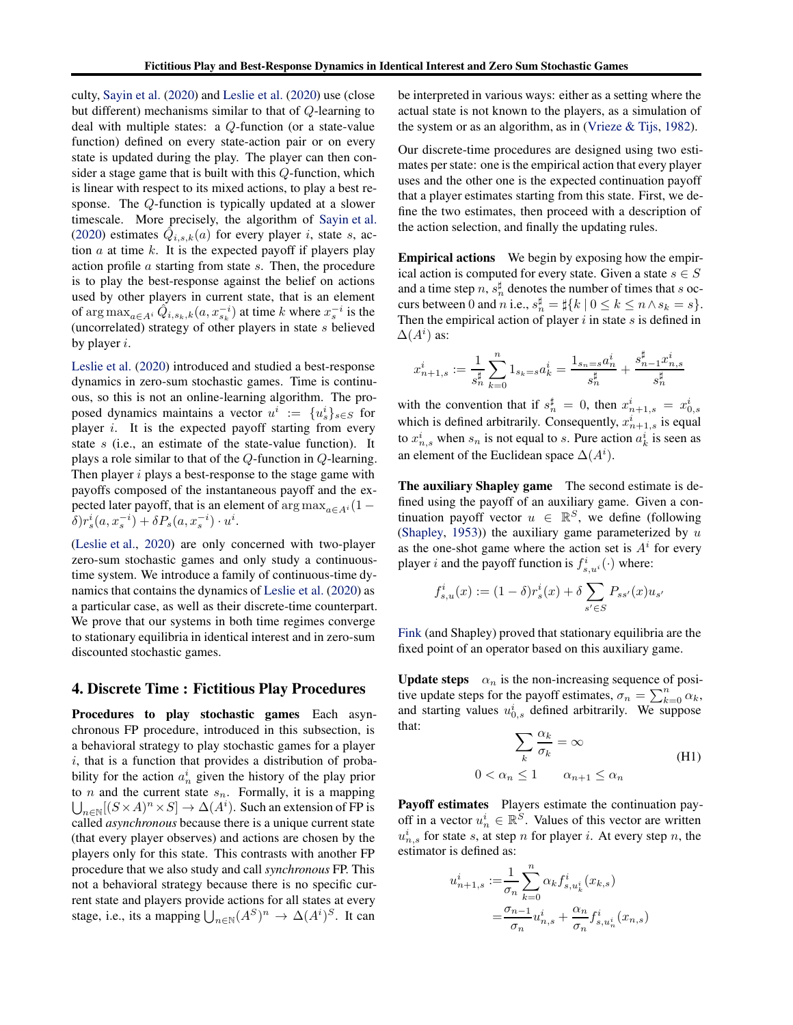culty, [Sayin et al.](#page-10-3) [\(2020\)](#page-10-3) and [Leslie et al.](#page-9-1) [\(2020\)](#page-9-1) use (close but different) mechanisms similar to that of Q-learning to deal with multiple states: a Q-function (or a state-value function) defined on every state-action pair or on every state is updated during the play. The player can then consider a stage game that is built with this Q-function, which is linear with respect to its mixed actions, to play a best response. The Q-function is typically updated at a slower timescale. More precisely, the algorithm of [Sayin et al.](#page-10-3) [\(2020\)](#page-10-3) estimates  $\hat{Q}_{i,s,k}(a)$  for every player i, state s, action  $a$  at time  $k$ . It is the expected payoff if players play action profile a starting from state s. Then, the procedure is to play the best-response against the belief on actions used by other players in current state, that is an element of  $\arg \max_{a \in A^i} \hat{Q}_{i,s_k,k}(a, x_{s_k}^{-i})$  at time k where  $x_s^{-i}$  is the (uncorrelated) strategy of other players in state  $s$  believed by player  $i$ .

[Leslie et al.](#page-9-1) [\(2020\)](#page-9-1) introduced and studied a best-response dynamics in zero-sum stochastic games. Time is continuous, so this is not an online-learning algorithm. The proposed dynamics maintains a vector  $u^i := \{u^i_s\}_{s \in S}$  for player  $i$ . It is the expected payoff starting from every state s (i.e., an estimate of the state-value function). It plays a role similar to that of the Q-function in Q-learning. Then player  $i$  plays a best-response to the stage game with payoffs composed of the instantaneous payoff and the expected later payoff, that is an element of  $\arg \max_{a \in A_i} (1 \delta$ ) $r_s^i(a, x_s^{-i}) + \delta P_s(a, x_s^{-i}) \cdot u^i$ .

[\(Leslie et al.,](#page-9-1) [2020\)](#page-9-1) are only concerned with two-player zero-sum stochastic games and only study a continuoustime system. We introduce a family of continuous-time dynamics that contains the dynamics of [Leslie et al.](#page-9-1) [\(2020\)](#page-9-1) as a particular case, as well as their discrete-time counterpart. We prove that our systems in both time regimes converge to stationary equilibria in identical interest and in zero-sum discounted stochastic games.

### <span id="page-4-0"></span>4. Discrete Time : Fictitious Play Procedures

Procedures to play stochastic games Each asynchronous FP procedure, introduced in this subsection, is a behavioral strategy to play stochastic games for a player  $i$ , that is a function that provides a distribution of probability for the action  $a_n^i$  given the history of the play prior to  $n$  and the current state  $s_n$ . Formally, it is a mapping  $\bigcup_{n\in\mathbb{N}}[(S\times A)^n\times S]\to \Delta(A^i)$ . Such an extension of FP is called *asynchronous* because there is a unique current state (that every player observes) and actions are chosen by the players only for this state. This contrasts with another FP procedure that we also study and call *synchronous* FP. This not a behavioral strategy because there is no specific current state and players provide actions for all states at every stage, i.e., its a mapping  $\bigcup_{n\in\mathbb{N}} (A^S)^n \to \Delta(A^i)^S$ . It can

be interpreted in various ways: either as a setting where the actual state is not known to the players, as a simulation of the system or as an algorithm, as in [\(Vrieze & Tijs](#page-10-9), [1982](#page-10-9)).

Our discrete-time procedures are designed using two estimates per state: one is the empirical action that every player uses and the other one is the expected continuation payoff that a player estimates starting from this state. First, we define the two estimates, then proceed with a description of the action selection, and finally the updating rules.

Empirical actions We begin by exposing how the empirical action is computed for every state. Given a state  $s \in S$ and a time step  $n, s_n^{\sharp}$  denotes the number of times that s occurs between 0 and *n* i.e.,  $s_n^{\sharp} = \frac{1}{2} \{ k \mid 0 \le k \le n \wedge s_k = s \}.$ Then the empirical action of player  $i$  in state  $s$  is defined in  $\Delta(A^i)$  as:

$$
x_{n+1,s}^i := \frac{1}{s_n^{\sharp}} \sum_{k=0}^n 1_{s_k = s} a_k^i = \frac{1_{s_n = s} a_n^i}{s_n^{\sharp}} + \frac{s_{n-1}^{\sharp} x_{n,s}^i}{s_n^{\sharp}}
$$

with the convention that if  $s_n^{\sharp} = 0$ , then  $x_{n+1,s}^{i} = x_{0,s}^{i}$ which is defined arbitrarily. Consequently,  $x_{n+1,s}^i$  is equal to  $x_{n,s}^i$  when  $s_n$  is not equal to s. Pure action  $a_k^i$  is seen as an element of the Euclidean space  $\Delta(A^i)$ .

The auxiliary Shapley game The second estimate is defined using the payoff of an auxiliary game. Given a continuation payoff vector  $u \in \mathbb{R}^S$ , we define (following [\(Shapley,](#page-10-1) [1953\)](#page-10-1)) the auxiliary game parameterized by  $u$ as the one-shot game where the action set is  $A<sup>i</sup>$  for every player *i* and the payoff function is  $f_{s,u}^i(\cdot)$  where:

$$
f_{s,u}^i(x) := (1 - \delta)r_s^i(x) + \delta \sum_{s' \in S} P_{ss'}(x)u_{s'}
$$

[Fink](#page-8-5) (and Shapley) proved that stationary equilibria are the fixed point of an operator based on this auxiliary game.

**Update steps**  $\alpha_n$  is the non-increasing sequence of positive update steps for the payoff estimates,  $\sigma_n = \sum_{k=0}^n \alpha_k$ , and starting values  $u_{0,s}^i$  defined arbitrarily. We suppose that:

<span id="page-4-1"></span>
$$
\sum_{k} \frac{\alpha_k}{\sigma_k} = \infty
$$
\n
$$
0 < \alpha_n \le 1 \qquad \alpha_{n+1} \le \alpha_n \tag{H1}
$$

Payoff estimates Players estimate the continuation payoff in a vector  $u_n^i \in \mathbb{R}^S$ . Values of this vector are written  $u_{n,s}^i$  for state s, at step n for player i. At every step n, the estimator is defined as:

$$
u_{n+1,s}^{i} := \frac{1}{\sigma_n} \sum_{k=0}^{n} \alpha_k f_{s,u_k}^{i}(x_{k,s})
$$
  
= 
$$
\frac{\sigma_{n-1}}{\sigma_n} u_{n,s}^{i} + \frac{\alpha_n}{\sigma_n} f_{s,u_n}^{i}(x_{n,s})
$$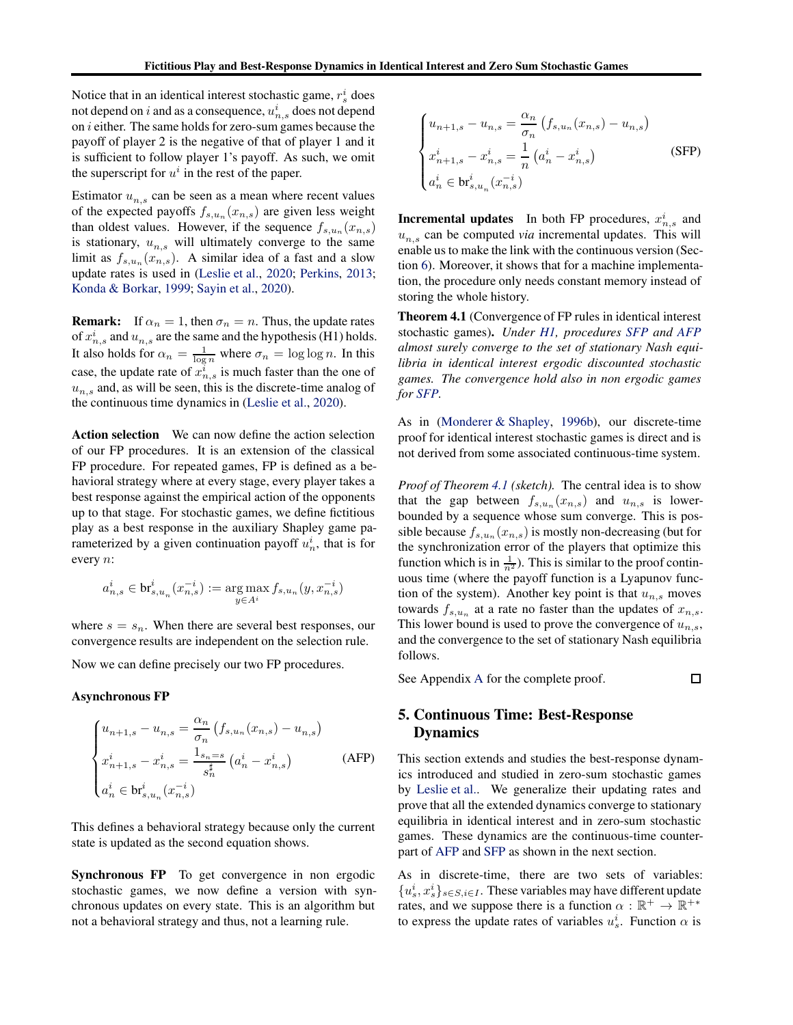Notice that in an identical interest stochastic game,  $r_s^i$  does not depend on  $i$  and as a consequence,  $u^i_{n,s}$  does not depend on i either. The same holds for zero-sum games because the payoff of player 2 is the negative of that of player 1 and it is sufficient to follow player 1's payoff. As such, we omit the superscript for  $u^i$  in the rest of the paper.

Estimator  $u_{n,s}$  can be seen as a mean where recent values of the expected payoffs  $f_{s,u_n}(x_{n,s})$  are given less weight than oldest values. However, if the sequence  $f_{s,u_n}(x_{n,s})$ is stationary,  $u_{n,s}$  will ultimately converge to the same limit as  $f_{s,u_n}(x_{n,s})$ . A similar idea of a fast and a slow update rates is used in [\(Leslie et al.,](#page-9-1) [2020;](#page-9-1) [Perkins,](#page-9-11) [2013;](#page-9-11) [Konda & Borkar](#page-9-6), [1999](#page-9-6); [Sayin et al.,](#page-10-3) [2020\)](#page-10-3).

**Remark:** If  $\alpha_n = 1$ , then  $\sigma_n = n$ . Thus, the update rates of  $x_{n,s}^i$  and  $u_{n,s}$  are the same and the hypothesis (H1) holds. It also holds for  $\alpha_n = \frac{1}{\log n}$  where  $\sigma_n = \log \log n$ . In this case, the update rate of  $x_{n,s}^i$  is much faster than the one of  $u_{n,s}$  and, as will be seen, this is the discrete-time analog of the continuous time dynamics in [\(Leslie et al.](#page-9-1), [2020\)](#page-9-1).

Action selection We can now define the action selection of our FP procedures. It is an extension of the classical FP procedure. For repeated games, FP is defined as a behavioral strategy where at every stage, every player takes a best response against the empirical action of the opponents up to that stage. For stochastic games, we define fictitious play as a best response in the auxiliary Shapley game parameterized by a given continuation payoff  $u_n^i$ , that is for every n:

$$
a^i_{n,s}\in \text{br}^i_{s,u_n}(x^{-i}_{n,s}):=\mathop{\arg\max}_{y\in A^i} f_{s,u_n}(y,x^{-i}_{n,s})
$$

where  $s = s_n$ . When there are several best responses, our convergence results are independent on the selection rule.

Now we can define precisely our two FP procedures.

### Asynchronous FP

$$
\begin{cases}\n u_{n+1,s} - u_{n,s} = \frac{\alpha_n}{\sigma_n} \left( f_{s,u_n}(x_{n,s}) - u_{n,s} \right) \\
 x_{n+1,s}^i - x_{n,s}^i = \frac{1_{s_n = s}}{s_n^{\sharp}} \left( a_n^i - x_{n,s}^i \right) \\
 a_n^i \in \text{br}_{s,u_n}^i(x_{n,s}^{-i})\n\end{cases} \tag{AFP}
$$

This defines a behavioral strategy because only the current state is updated as the second equation shows.

Synchronous FP To get convergence in non ergodic stochastic games, we now define a version with synchronous updates on every state. This is an algorithm but not a behavioral strategy and thus, not a learning rule.

$$
\begin{cases}\n u_{n+1,s} - u_{n,s} = \frac{\alpha_n}{\sigma_n} \left( f_{s,u_n}(x_{n,s}) - u_{n,s} \right) \\
 x_{n+1,s}^i - x_{n,s}^i = \frac{1}{n} \left( a_n^i - x_{n,s}^i \right) \\
 a_n^i \in \text{br}_{s,u_n}^i(x_{n,s}^{-i})\n\end{cases} \tag{SFP}
$$

**Incremental updates** In both FP procedures,  $x_{n,s}^i$  and  $u_{n,s}$  can be computed *via* incremental updates. This will enable us to make the link with the continuous version (Section [6\)](#page-6-0). Moreover, it shows that for a machine implementation, the procedure only needs constant memory instead of storing the whole history.

<span id="page-5-1"></span>Theorem 4.1 (Convergence of FP rules in identical interest stochastic games). *Under [H1,](#page-4-1) procedures [SFP](#page-4-1) and [AFP](#page-4-1) almost surely converge to the set of stationary Nash equilibria in identical interest ergodic discounted stochastic games. The convergence hold also in non ergodic games for [SFP.](#page-4-1)*

As in [\(Monderer & Shapley,](#page-9-18) [1996b\)](#page-9-18), our discrete-time proof for identical interest stochastic games is direct and is not derived from some associated continuous-time system.

*Proof of Theorem [4.1](#page-5-1) (sketch).* The central idea is to show that the gap between  $f_{s,u_n}(x_{n,s})$  and  $u_{n,s}$  is lowerbounded by a sequence whose sum converge. This is possible because  $f_{s,u_n}(x_{n,s})$  is mostly non-decreasing (but for the synchronization error of the players that optimize this function which is in  $\frac{1}{n^2}$ ). This is similar to the proof continuous time (where the payoff function is a Lyapunov function of the system). Another key point is that  $u_{n,s}$  moves towards  $f_{s,u_n}$  at a rate no faster than the updates of  $x_{n,s}$ . This lower bound is used to prove the convergence of  $u_{n,s}$ , and the convergence to the set of stationary Nash equilibria follows.

<span id="page-5-0"></span>See Appendix [A](#page-11-0) for the complete proof.

### □

# 5. Continuous Time: Best-Response Dynamics

This section extends and studies the best-response dynamics introduced and studied in zero-sum stochastic games by [Leslie et al.](#page-9-1). We generalize their updating rates and prove that all the extended dynamics converge to stationary equilibria in identical interest and in zero-sum stochastic games. These dynamics are the continuous-time counterpart of [AFP](#page-4-1) and [SFP](#page-4-1) as shown in the next section.

As in discrete-time, there are two sets of variables:  $\{u_s^i, x_s^i\}_{s \in S, i \in I}$ . These variables may have different update rates, and we suppose there is a function  $\alpha : \mathbb{R}^+ \to \mathbb{R}^{+*}$ to express the update rates of variables  $u_s^i$ . Function  $\alpha$  is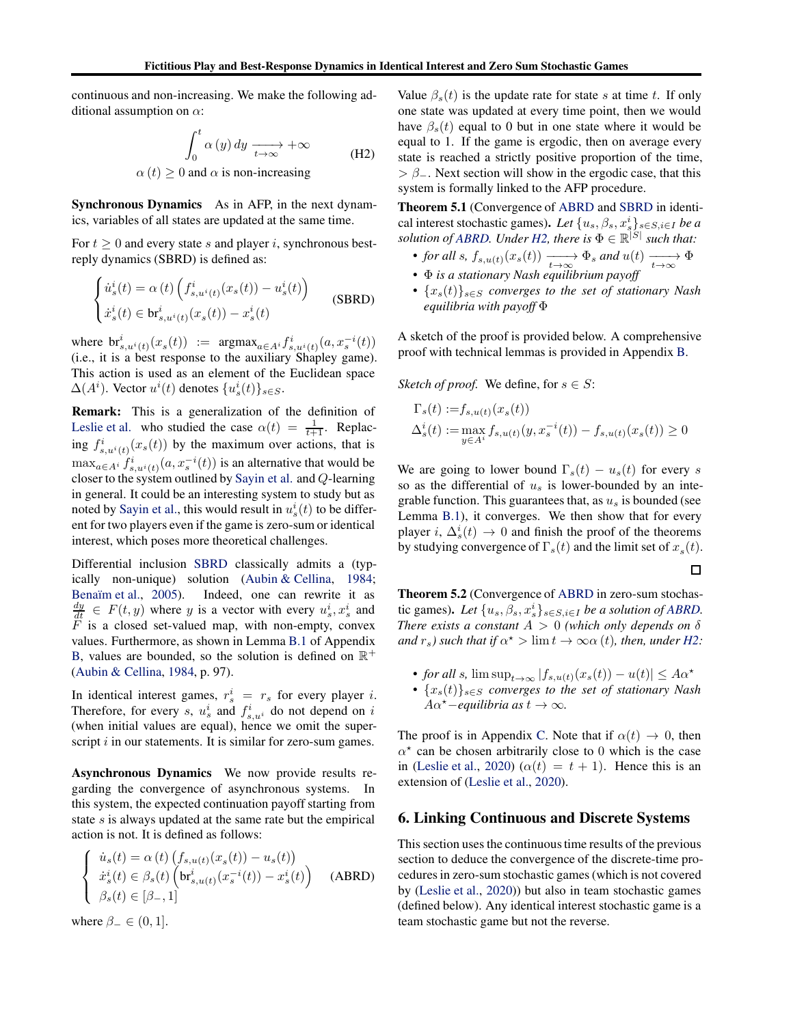continuous and non-increasing. We make the following additional assumption on  $\alpha$ :

$$
\int_0^t \alpha(y) dy \xrightarrow[t \to \infty]{} + \infty
$$
\n
$$
\alpha(t) \ge 0 \text{ and } \alpha \text{ is non-increasing}
$$
\n(H2)

Synchronous Dynamics As in AFP, in the next dynamics, variables of all states are updated at the same time.

For  $t > 0$  and every state s and player i, synchronous bestreply dynamics (SBRD) is defined as:

$$
\begin{cases}\n\dot{u}_s^i(t) = \alpha(t) \left( f_{s,u^i(t)}^i(x_s(t)) - u_s^i(t) \right) \\
\dot{x}_s^i(t) \in \mathbf{br}_{s,u^i(t)}^i(x_s(t)) - x_s^i(t)\n\end{cases}
$$
\n(SBRD)

where  $\mathrm{br}^i_{s,u^i(t)}(x_s(t)) := \mathrm{argmax}_{a \in A^i} f^i_{s,u^i(t)}(a,x_s^{-i}(t))$ (i.e., it is a best response to the auxiliary Shapley game). This action is used as an element of the Euclidean space  $\Delta(A^i)$ . Vector  $u^i(t)$  denotes  $\{u^i_s(t)\}_{s\in S}$ .

Remark: This is a generalization of the definition of [Leslie et al.](#page-9-1) who studied the case  $\alpha(t) = \frac{1}{t+1}$ . Replacing  $f_{s,u^i(t)}^i(x_s(t))$  by the maximum over actions, that is  $\max_{a \in A^i} f^i_{s, u^i(t)}(a, x_s^{-i}(t))$  is an alternative that would be closer to the system outlined by [Sayin et al.](#page-10-3) and Q-learning in general. It could be an interesting system to study but as noted by [Sayin et al.,](#page-10-3) this would result in  $u_s^i(t)$  to be different for two players even if the game is zero-sum or identical interest, which poses more theoretical challenges.

Differential inclusion [SBRD](#page-6-1) classically admits a (typically non-unique) solution [\(Aubin & Cellina,](#page-8-14) [1984;](#page-8-14) Benaïm et al., [2005](#page-8-13)). Indeed, one can rewrite it as  $\frac{dy}{dt} \in F(t, y)$  where y is a vector with every  $u_s^i, x_s^i$  and  $\overline{F}$  is a closed set-valued map, with non-empty, convex values. Furthermore, as shown in Lemma [B.1](#page-14-0) of Appendix [B,](#page-13-0) values are bounded, so the solution is defined on  $\mathbb{R}^+$ [\(Aubin & Cellina,](#page-8-14) [1984,](#page-8-14) p. 97).

In identical interest games,  $r_s^i = r_s$  for every player i. Therefore, for every s,  $u_s^i$  and  $f_{s,u^i}^i$  do not depend on i (when initial values are equal), hence we omit the superscript  $i$  in our statements. It is similar for zero-sum games.

Asynchronous Dynamics We now provide results regarding the convergence of asynchronous systems. In this system, the expected continuation payoff starting from state s is always updated at the same rate but the empirical action is not. It is defined as follows:

$$
\begin{cases}\n\dot{u}_s(t) = \alpha(t) \left( f_{s,u(t)}(x_s(t)) - u_s(t) \right) \\
\dot{x}_s^i(t) \in \beta_s(t) \left( \mathbf{b}_s^i_{s,u(t)}(x_s^{-i}(t)) - x_s^i(t) \right) \\
\beta_s(t) \in [\beta_-, 1]\n\end{cases}
$$
(ABRD)

where  $\beta_- \in (0, 1]$ .

Value  $\beta_s(t)$  is the update rate for state s at time t. If only one state was updated at every time point, then we would have  $\beta_s(t)$  equal to 0 but in one state where it would be equal to 1. If the game is ergodic, then on average every state is reached a strictly positive proportion of the time,  $> \beta_-$ . Next section will show in the ergodic case, that this system is formally linked to the AFP procedure.

<span id="page-6-3"></span>Theorem 5.1 (Convergence of [ABRD](#page-6-1) and [SBRD](#page-6-1) in identical interest stochastic games). Let  $\{u_s, \beta_s, x_s^i\}_{s \in S, i \in I}$  be a *solution of [ABRD.](#page-6-1)* Under  $H2$ , there is  $\Phi \in \mathbb{R}^{|S|}$  such that:

- *for all s,*  $f_{s,u(t)}(x_s(t)) \xrightarrow[t \to \infty]{} \Phi_s$  *and*  $u(t) \xrightarrow[t \to \infty]{} \Phi$
- Φ *is a stationary Nash equilibrium payoff*
- {xs(t)}s∈<sup>S</sup> *converges to the set of stationary Nash equilibria with payoff* Φ

A sketch of the proof is provided below. A comprehensive proof with technical lemmas is provided in Appendix [B.](#page-13-0)

*Sketch of proof.* We define, for  $s \in S$ :

$$
\Gamma_s(t) := f_{s,u(t)}(x_s(t))
$$
  

$$
\Delta_s^i(t) := \max_{y \in A^i} f_{s,u(t)}(y, x_s^{-i}(t)) - f_{s,u(t)}(x_s(t)) \ge 0
$$

We are going to lower bound  $\Gamma_s(t) - u_s(t)$  for every s so as the differential of  $u_s$  is lower-bounded by an integrable function. This guarantees that, as  $u_s$  is bounded (see Lemma [B.1\)](#page-14-0), it converges. We then show that for every player *i*,  $\Delta_s^i(t) \rightarrow 0$  and finish the proof of the theorems by studying convergence of  $\Gamma_s(t)$  and the limit set of  $x_s(t)$ .

 $\Box$ 

<span id="page-6-2"></span>Theorem 5.2 (Convergence of [ABRD](#page-6-1) in zero-sum stochastic games). Let  $\{u_s, \beta_s, x_s^i\}_{s \in S, i \in I}$  *be a solution of [ABRD.](#page-6-1) There exists a constant*  $A > 0$  *(which only depends on*  $\delta$ *and*  $r_s$ ) such that if  $\alpha^*$  >  $\lim t \to \infty \alpha$  (*t*), then, under *H2*:

- *for all s*,  $\limsup_{t\to\infty} |f_{s,u(t)}(x_s(t)) u(t)| \leq A\alpha^*$
- {xs(t)}s∈<sup>S</sup> *converges to the set of stationary Nash*  $A\alpha^*$ *−equilibria as*  $t \to \infty$ *.*

The proof is in Appendix [C.](#page-17-0) Note that if  $\alpha(t) \to 0$ , then  $\alpha^*$  can be chosen arbitrarily close to 0 which is the case in [\(Leslie et al.](#page-9-1), [2020\)](#page-9-1) ( $\alpha(t) = t + 1$ ). Hence this is an extension of [\(Leslie et al.](#page-9-1), [2020](#page-9-1)).

### <span id="page-6-0"></span>6. Linking Continuous and Discrete Systems

<span id="page-6-1"></span>This section uses the continuous time results of the previous section to deduce the convergence of the discrete-time procedures in zero-sum stochastic games (which is not covered by [\(Leslie et al.](#page-9-1), [2020\)](#page-9-1)) but also in team stochastic games (defined below). Any identical interest stochastic game is a team stochastic game but not the reverse.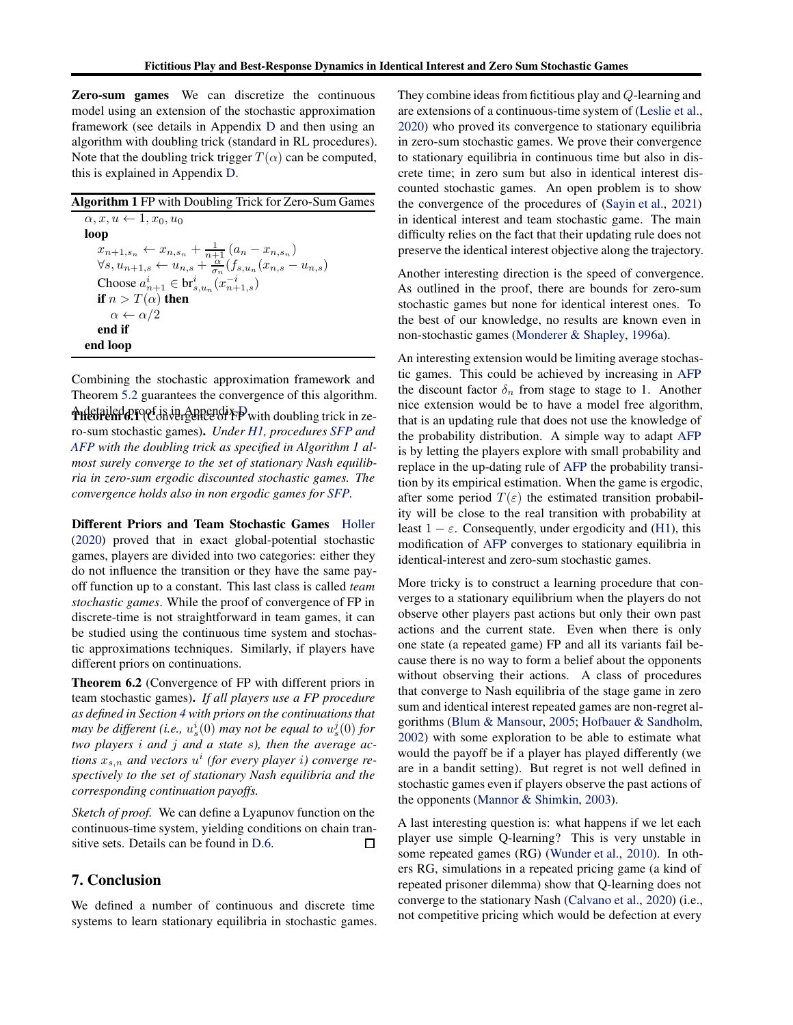Zero-sum games We can discretize the continuous model using an extension of the stochastic approximation framework (see details in Appendix [D](#page-19-0) and then using an algorithm with doubling trick (standard in RL procedures). Note that the doubling trick trigger  $T(\alpha)$  can be computed, this is explained in Appendix [D.](#page-19-0)

Combining the stochastic approximation framework and Theorem [5.2](#page-6-2) guarantees the convergence of this algorithm.

<span id="page-7-0"></span>A detailed proof is in Appendix [D.](#page-19-0) Theorem 6.1 (Convergence of FP with doubling trick in zero-sum stochastic games). *Under [H1,](#page-4-1) procedures [SFP](#page-4-1) and [AFP](#page-4-1) with the doubling trick as specified in Algorithm 1 almost surely converge to the set of stationary Nash equilibria in zero-sum ergodic discounted stochastic games. The convergence holds also in non ergodic games for [SFP.](#page-4-1)*

Different Priors and Team Stochastic Games [Holler](#page-9-2) [\(2020\)](#page-9-2) proved that in exact global-potential stochastic games, players are divided into two categories: either they do not influence the transition or they have the same payoff function up to a constant. This last class is called *team stochastic games*. While the proof of convergence of FP in discrete-time is not straightforward in team games, it can be studied using the continuous time system and stochastic approximations techniques. Similarly, if players have different priors on continuations.

Theorem 6.2 (Convergence of FP with different priors in team stochastic games). *If all players use a FP procedure as defined in Section [4](#page-4-0) with priors on the continuations that* may be different (i.e.,  $u_s^i(0)$  may not be equal to  $u_s^j(0)$  for *two players* i *and* j *and a state* s*), then the average actions*  $x_{s,n}$  and vectors  $u^i$  (for every player i) converge re*spectively to the set of stationary Nash equilibria and the corresponding continuation payoffs.*

*Sketch of proof.* We can define a Lyapunov function on the continuous-time system, yielding conditions on chain transitive sets. Details can be found in [D.6.](#page-23-0) □

### 7. Conclusion

We defined a number of continuous and discrete time systems to learn stationary equilibria in stochastic games. They combine ideas from fictitious play and Q-learning and are extensions of a continuous-time system of [\(Leslie et al.](#page-9-1), [2020\)](#page-9-1) who proved its convergence to stationary equilibria in zero-sum stochastic games. We prove their convergence to stationary equilibria in continuous time but also in discrete time; in zero sum but also in identical interest discounted stochastic games. An open problem is to show the convergence of the procedures of [\(Sayin et al.,](#page-10-6) [2021\)](#page-10-6) in identical interest and team stochastic game. The main difficulty relies on the fact that their updating rule does not preserve the identical interest objective along the trajectory.

Another interesting direction is the speed of convergence. As outlined in the proof, there are bounds for zero-sum stochastic games but none for identical interest ones. To the best of our knowledge, no results are known even in non-stochastic games [\(Monderer & Shapley,](#page-9-0) [1996a](#page-9-0)).

An interesting extension would be limiting average stochastic games. This could be achieved by increasing in [AFP](#page-4-1) the discount factor  $\delta_n$  from stage to stage to 1. Another nice extension would be to have a model free algorithm, that is an updating rule that does not use the knowledge of the probability distribution. A simple way to adapt [AFP](#page-4-1) is by letting the players explore with small probability and replace in the up-dating rule of [AFP](#page-4-1) the probability transition by its empirical estimation. When the game is ergodic, after some period  $T(\varepsilon)$  the estimated transition probability will be close to the real transition with probability at least  $1 - \varepsilon$ . Consequently, under ergodicity and [\(H1\)](#page-4-1), this modification of [AFP](#page-4-1) converges to stationary equilibria in identical-interest and zero-sum stochastic games.

More tricky is to construct a learning procedure that converges to a stationary equilibrium when the players do not observe other players past actions but only their own past actions and the current state. Even when there is only one state (a repeated game) FP and all its variants fail because there is no way to form a belief about the opponents without observing their actions. A class of procedures that converge to Nash equilibria of the stage game in zero sum and identical interest repeated games are non-regret algorithms [\(Blum & Mansour](#page-8-15), [2005](#page-8-15); [Hofbauer & Sandholm](#page-9-9), [2002\)](#page-9-9) with some exploration to be able to estimate what would the payoff be if a player has played differently (we are in a bandit setting). But regret is not well defined in stochastic games even if players observe the past actions of the opponents [\(Mannor & Shimkin,](#page-9-19) [2003\)](#page-9-19).

A last interesting question is: what happens if we let each player use simple Q-learning? This is very unstable in some repeated games (RG) [\(Wunder et al.](#page-10-12), [2010](#page-10-12)). In others RG, simulations in a repeated pricing game (a kind of repeated prisoner dilemma) show that Q-learning does not converge to the stationary Nash [\(Calvano et al.,](#page-8-16) [2020\)](#page-8-16) (i.e., not competitive pricing which would be defection at every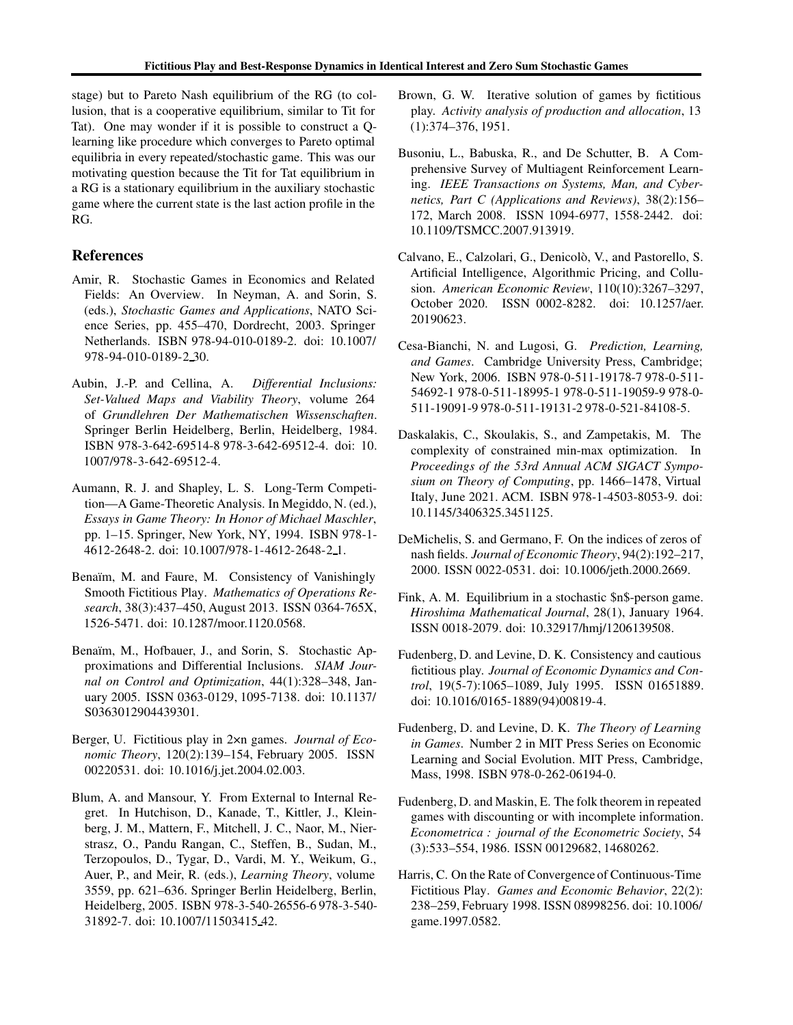stage) but to Pareto Nash equilibrium of the RG (to collusion, that is a cooperative equilibrium, similar to Tit for Tat). One may wonder if it is possible to construct a Qlearning like procedure which converges to Pareto optimal equilibria in every repeated/stochastic game. This was our motivating question because the Tit for Tat equilibrium in a RG is a stationary equilibrium in the auxiliary stochastic game where the current state is the last action profile in the RG.

### References

- <span id="page-8-3"></span>Amir, R. Stochastic Games in Economics and Related Fields: An Overview. In Neyman, A. and Sorin, S. (eds.), *Stochastic Games and Applications*, NATO Science Series, pp. 455–470, Dordrecht, 2003. Springer Netherlands. ISBN 978-94-010-0189-2. doi: 10.1007/ 978-94-010-0189-2 30.
- <span id="page-8-14"></span>Aubin, J.-P. and Cellina, A. *Differential Inclusions: Set-Valued Maps and Viability Theory*, volume 264 of *Grundlehren Der Mathematischen Wissenschaften*. Springer Berlin Heidelberg, Berlin, Heidelberg, 1984. ISBN 978-3-642-69514-8 978-3-642-69512-4. doi: 10. 1007/978-3-642-69512-4.
- <span id="page-8-6"></span>Aumann, R. J. and Shapley, L. S. Long-Term Competition—A Game-Theoretic Analysis. In Megiddo, N. (ed.), *Essays in Game Theory: In Honor of Michael Maschler*, pp. 1–15. Springer, New York, NY, 1994. ISBN 978-1- 4612-2648-2. doi: 10.1007/978-1-4612-2648-2 1.
- <span id="page-8-9"></span>Benaïm, M. and Faure, M. Consistency of Vanishingly Smooth Fictitious Play. *Mathematics of Operations Research*, 38(3):437–450, August 2013. ISSN 0364-765X, 1526-5471. doi: 10.1287/moor.1120.0568.
- <span id="page-8-13"></span>Benaïm, M., Hofbauer, J., and Sorin, S. Stochastic Approximations and Differential Inclusions. *SIAM Journal on Control and Optimization*, 44(1):328–348, January 2005. ISSN 0363-0129, 1095-7138. doi: 10.1137/ S0363012904439301.
- <span id="page-8-8"></span>Berger, U. Fictitious play in 2×n games. *Journal of Economic Theory*, 120(2):139–154, February 2005. ISSN 00220531. doi: 10.1016/j.jet.2004.02.003.
- <span id="page-8-15"></span>Blum, A. and Mansour, Y. From External to Internal Regret. In Hutchison, D., Kanade, T., Kittler, J., Kleinberg, J. M., Mattern, F., Mitchell, J. C., Naor, M., Nierstrasz, O., Pandu Rangan, C., Steffen, B., Sudan, M., Terzopoulos, D., Tygar, D., Vardi, M. Y., Weikum, G., Auer, P., and Meir, R. (eds.), *Learning Theory*, volume 3559, pp. 621–636. Springer Berlin Heidelberg, Berlin, Heidelberg, 2005. ISBN 978-3-540-26556-6 978-3-540- 31892-7. doi: 10.1007/11503415 42.
- <span id="page-8-0"></span>Brown, G. W. Iterative solution of games by fictitious play. *Activity analysis of production and allocation*, 13 (1):374–376, 1951.
- <span id="page-8-4"></span>Busoniu, L., Babuska, R., and De Schutter, B. A Comprehensive Survey of Multiagent Reinforcement Learning. *IEEE Transactions on Systems, Man, and Cybernetics, Part C (Applications and Reviews)*, 38(2):156– 172, March 2008. ISSN 1094-6977, 1558-2442. doi: 10.1109/TSMCC.2007.913919.
- <span id="page-8-16"></span>Calvano, E., Calzolari, G., Denicolò, V., and Pastorello, S. Artificial Intelligence, Algorithmic Pricing, and Collusion. *American Economic Review*, 110(10):3267–3297, October 2020. ISSN 0002-8282. doi: 10.1257/aer. 20190623.
- <span id="page-8-2"></span>Cesa-Bianchi, N. and Lugosi, G. *Prediction, Learning, and Games*. Cambridge University Press, Cambridge; New York, 2006. ISBN 978-0-511-19178-7 978-0-511- 54692-1 978-0-511-18995-1 978-0-511-19059-9 978-0- 511-19091-9 978-0-511-19131-2 978-0-521-84108-5.
- <span id="page-8-7"></span>Daskalakis, C., Skoulakis, S., and Zampetakis, M. The complexity of constrained min-max optimization. In *Proceedings of the 53rd Annual ACM SIGACT Symposium on Theory of Computing*, pp. 1466–1478, Virtual Italy, June 2021. ACM. ISBN 978-1-4503-8053-9. doi: 10.1145/3406325.3451125.
- <span id="page-8-11"></span>DeMichelis, S. and Germano, F. On the indices of zeros of nash fields. *Journal of Economic Theory*, 94(2):192–217, 2000. ISSN 0022-0531. doi: 10.1006/jeth.2000.2669.
- <span id="page-8-5"></span>Fink, A. M. Equilibrium in a stochastic \$n\$-person game. *Hiroshima Mathematical Journal*, 28(1), January 1964. ISSN 0018-2079. doi: 10.32917/hmj/1206139508.
- <span id="page-8-10"></span>Fudenberg, D. and Levine, D. K. Consistency and cautious fictitious play. *Journal of Economic Dynamics and Control*, 19(5-7):1065–1089, July 1995. ISSN 01651889. doi: 10.1016/0165-1889(94)00819-4.
- <span id="page-8-1"></span>Fudenberg, D. and Levine, D. K. *The Theory of Learning in Games*. Number 2 in MIT Press Series on Economic Learning and Social Evolution. MIT Press, Cambridge, Mass, 1998. ISBN 978-0-262-06194-0.
- Fudenberg, D. and Maskin, E. The folk theorem in repeated games with discounting or with incomplete information. *Econometrica : journal of the Econometric Society*, 54 (3):533–554, 1986. ISSN 00129682, 14680262.
- <span id="page-8-12"></span>Harris, C. On the Rate of Convergence of Continuous-Time Fictitious Play. *Games and Economic Behavior*, 22(2): 238–259, February 1998. ISSN 08998256. doi: 10.1006/ game.1997.0582.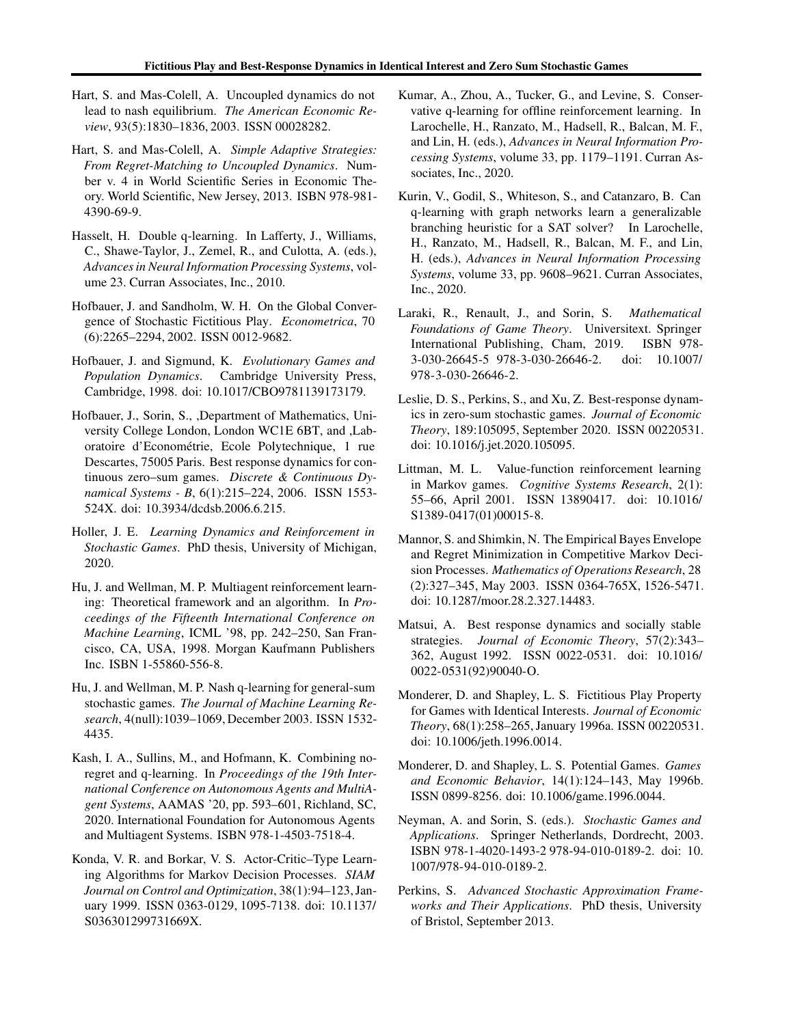- Hart, S. and Mas-Colell, A. Uncoupled dynamics do not lead to nash equilibrium. *The American Economic Review*, 93(5):1830–1836, 2003. ISSN 00028282.
- <span id="page-9-3"></span>Hart, S. and Mas-Colell, A. *Simple Adaptive Strategies: From Regret-Matching to Uncoupled Dynamics*. Number v. 4 in World Scientific Series in Economic Theory. World Scientific, New Jersey, 2013. ISBN 978-981- 4390-69-9.
- <span id="page-9-7"></span>Hasselt, H. Double q-learning. In Lafferty, J., Williams, C., Shawe-Taylor, J., Zemel, R., and Culotta, A. (eds.), *Advances in Neural Information Processing Systems*, volume 23. Curran Associates, Inc., 2010.
- <span id="page-9-9"></span>Hofbauer, J. and Sandholm, W. H. On the Global Convergence of Stochastic Fictitious Play. *Econometrica*, 70 (6):2265–2294, 2002. ISSN 0012-9682.
- <span id="page-9-10"></span>Hofbauer, J. and Sigmund, K. *Evolutionary Games and Population Dynamics*. Cambridge University Press, Cambridge, 1998. doi: 10.1017/CBO9781139173179.
- <span id="page-9-20"></span>Hofbauer, J., Sorin, S., ,Department of Mathematics, University College London, London WC1E 6BT, and ,Laboratoire d'Econométrie, Ecole Polytechnique, 1 rue Descartes, 75005 Paris. Best response dynamics for continuous zero–sum games. *Discrete & Continuous Dynamical Systems - B*, 6(1):215–224, 2006. ISSN 1553- 524X. doi: 10.3934/dcdsb.2006.6.215.
- <span id="page-9-2"></span>Holler, J. E. *Learning Dynamics and Reinforcement in Stochastic Games*. PhD thesis, University of Michigan, 2020.
- <span id="page-9-15"></span>Hu, J. and Wellman, M. P. Multiagent reinforcement learning: Theoretical framework and an algorithm. In *Proceedings of the Fifteenth International Conference on Machine Learning*, ICML '98, pp. 242–250, San Francisco, CA, USA, 1998. Morgan Kaufmann Publishers Inc. ISBN 1-55860-556-8.
- <span id="page-9-16"></span>Hu, J. and Wellman, M. P. Nash q-learning for general-sum stochastic games. *The Journal of Machine Learning Research*, 4(null):1039–1069, December 2003. ISSN 1532- 4435.
- <span id="page-9-13"></span>Kash, I. A., Sullins, M., and Hofmann, K. Combining noregret and q-learning. In *Proceedings of the 19th International Conference on Autonomous Agents and MultiAgent Systems*, AAMAS '20, pp. 593–601, Richland, SC, 2020. International Foundation for Autonomous Agents and Multiagent Systems. ISBN 978-1-4503-7518-4.
- <span id="page-9-6"></span>Konda, V. R. and Borkar, V. S. Actor-Critic–Type Learning Algorithms for Markov Decision Processes. *SIAM Journal on Control and Optimization*, 38(1):94–123, January 1999. ISSN 0363-0129, 1095-7138. doi: 10.1137/ S036301299731669X.
- <span id="page-9-8"></span>Kumar, A., Zhou, A., Tucker, G., and Levine, S. Conservative q-learning for offline reinforcement learning. In Larochelle, H., Ranzato, M., Hadsell, R., Balcan, M. F., and Lin, H. (eds.), *Advances in Neural Information Processing Systems*, volume 33, pp. 1179–1191. Curran Associates, Inc., 2020.
- <span id="page-9-14"></span>Kurin, V., Godil, S., Whiteson, S., and Catanzaro, B. Can q-learning with graph networks learn a generalizable branching heuristic for a SAT solver? In Larochelle, H., Ranzato, M., Hadsell, R., Balcan, M. F., and Lin, H. (eds.), *Advances in Neural Information Processing Systems*, volume 33, pp. 9608–9621. Curran Associates, Inc., 2020.
- <span id="page-9-5"></span>Laraki, R., Renault, J., and Sorin, S. *Mathematical Foundations of Game Theory*. Universitext. Springer International Publishing, Cham, 2019. ISBN 978- 3-030-26645-5 978-3-030-26646-2. doi: 10.1007/ 978-3-030-26646-2.
- <span id="page-9-1"></span>Leslie, D. S., Perkins, S., and Xu, Z. Best-response dynamics in zero-sum stochastic games. *Journal of Economic Theory*, 189:105095, September 2020. ISSN 00220531. doi: 10.1016/j.jet.2020.105095.
- <span id="page-9-17"></span>Littman, M. L. Value-function reinforcement learning in Markov games. *Cognitive Systems Research*, 2(1): 55–66, April 2001. ISSN 13890417. doi: 10.1016/ S1389-0417(01)00015-8.
- <span id="page-9-19"></span>Mannor, S. and Shimkin, N. The Empirical Bayes Envelope and Regret Minimization in Competitive Markov Decision Processes. *Mathematics of Operations Research*, 28 (2):327–345, May 2003. ISSN 0364-765X, 1526-5471. doi: 10.1287/moor.28.2.327.14483.
- <span id="page-9-12"></span>Matsui, A. Best response dynamics and socially stable strategies. *Journal of Economic Theory*, 57(2):343– 362, August 1992. ISSN 0022-0531. doi: 10.1016/ 0022-0531(92)90040-O.
- <span id="page-9-0"></span>Monderer, D. and Shapley, L. S. Fictitious Play Property for Games with Identical Interests. *Journal of Economic Theory*, 68(1):258–265, January 1996a. ISSN 00220531. doi: 10.1006/jeth.1996.0014.
- <span id="page-9-18"></span>Monderer, D. and Shapley, L. S. Potential Games. *Games and Economic Behavior*, 14(1):124–143, May 1996b. ISSN 0899-8256. doi: 10.1006/game.1996.0044.
- <span id="page-9-4"></span>Neyman, A. and Sorin, S. (eds.). *Stochastic Games and Applications*. Springer Netherlands, Dordrecht, 2003. ISBN 978-1-4020-1493-2 978-94-010-0189-2. doi: 10. 1007/978-94-010-0189-2.
- <span id="page-9-11"></span>Perkins, S. *Advanced Stochastic Approximation Frameworks and Their Applications*. PhD thesis, University of Bristol, September 2013.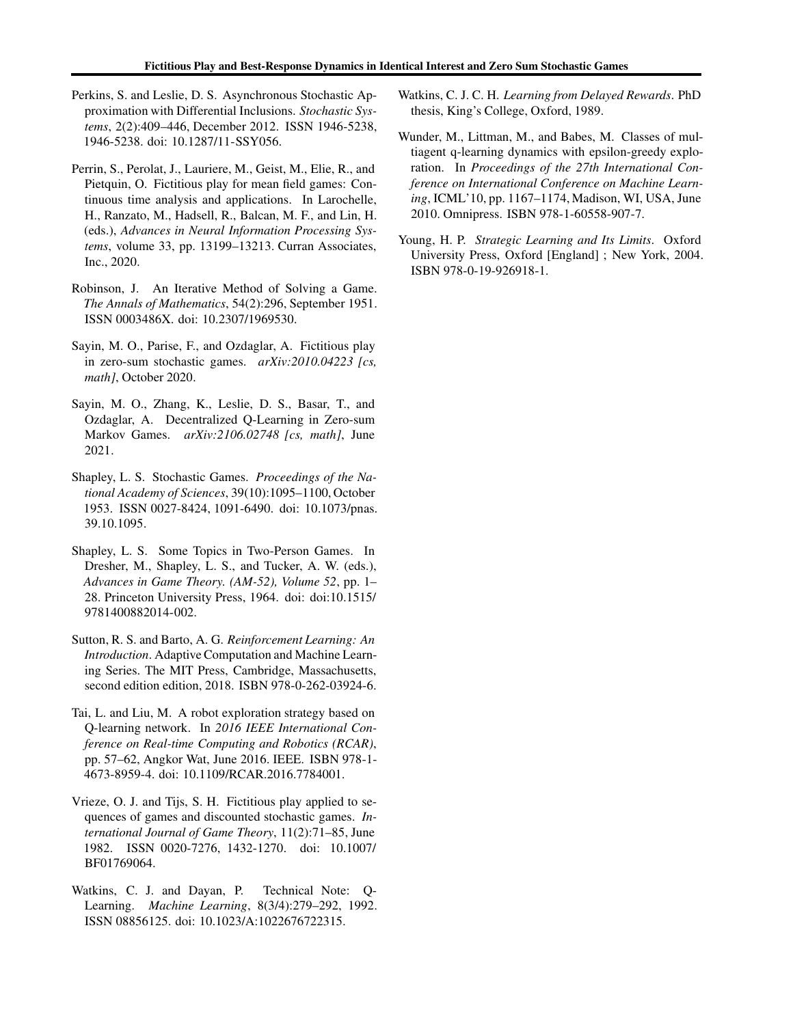- <span id="page-10-13"></span>Perkins, S. and Leslie, D. S. Asynchronous Stochastic Approximation with Differential Inclusions. *Stochastic Systems*, 2(2):409–446, December 2012. ISSN 1946-5238, 1946-5238. doi: 10.1287/11-SSY056.
- <span id="page-10-7"></span>Perrin, S., Perolat, J., Lauriere, M., Geist, M., Elie, R., and Pietquin, O. Fictitious play for mean field games: Continuous time analysis and applications. In Larochelle, H., Ranzato, M., Hadsell, R., Balcan, M. F., and Lin, H. (eds.), *Advances in Neural Information Processing Systems*, volume 33, pp. 13199–13213. Curran Associates, Inc., 2020.
- <span id="page-10-0"></span>Robinson, J. An Iterative Method of Solving a Game. *The Annals of Mathematics*, 54(2):296, September 1951. ISSN 0003486X. doi: 10.2307/1969530.
- <span id="page-10-3"></span>Sayin, M. O., Parise, F., and Ozdaglar, A. Fictitious play in zero-sum stochastic games. *arXiv:2010.04223 [cs, math]*, October 2020.
- <span id="page-10-6"></span>Sayin, M. O., Zhang, K., Leslie, D. S., Basar, T., and Ozdaglar, A. Decentralized Q-Learning in Zero-sum Markov Games. *arXiv:2106.02748 [cs, math]*, June 2021.
- <span id="page-10-1"></span>Shapley, L. S. Stochastic Games. *Proceedings of the National Academy of Sciences*, 39(10):1095–1100, October 1953. ISSN 0027-8424, 1091-6490. doi: 10.1073/pnas. 39.10.1095.
- <span id="page-10-8"></span>Shapley, L. S. Some Topics in Two-Person Games. In Dresher, M., Shapley, L. S., and Tucker, A. W. (eds.), *Advances in Game Theory. (AM-52), Volume 52*, pp. 1– 28. Princeton University Press, 1964. doi: doi:10.1515/ 9781400882014-002.
- <span id="page-10-4"></span>Sutton, R. S. and Barto, A. G. *Reinforcement Learning: An Introduction*. Adaptive Computation and Machine Learning Series. The MIT Press, Cambridge, Massachusetts, second edition edition, 2018. ISBN 978-0-262-03924-6.
- <span id="page-10-11"></span>Tai, L. and Liu, M. A robot exploration strategy based on Q-learning network. In *2016 IEEE International Conference on Real-time Computing and Robotics (RCAR)*, pp. 57–62, Angkor Wat, June 2016. IEEE. ISBN 978-1- 4673-8959-4. doi: 10.1109/RCAR.2016.7784001.
- <span id="page-10-9"></span>Vrieze, O. J. and Tijs, S. H. Fictitious play applied to sequences of games and discounted stochastic games. *International Journal of Game Theory*, 11(2):71–85, June 1982. ISSN 0020-7276, 1432-1270. doi: 10.1007/ BF01769064.
- <span id="page-10-5"></span>Watkins, C. J. and Dayan, P. Technical Note: Q-Learning. *Machine Learning*, 8(3/4):279–292, 1992. ISSN 08856125. doi: 10.1023/A:1022676722315.
- <span id="page-10-10"></span>Watkins, C. J. C. H. *Learning from Delayed Rewards*. PhD thesis, King's College, Oxford, 1989.
- <span id="page-10-12"></span>Wunder, M., Littman, M., and Babes, M. Classes of multiagent q-learning dynamics with epsilon-greedy exploration. In *Proceedings of the 27th International Conference on International Conference on Machine Learning*, ICML'10, pp. 1167–1174, Madison, WI, USA, June 2010. Omnipress. ISBN 978-1-60558-907-7.
- <span id="page-10-2"></span>Young, H. P. *Strategic Learning and Its Limits*. Oxford University Press, Oxford [England] ; New York, 2004. ISBN 978-0-19-926918-1.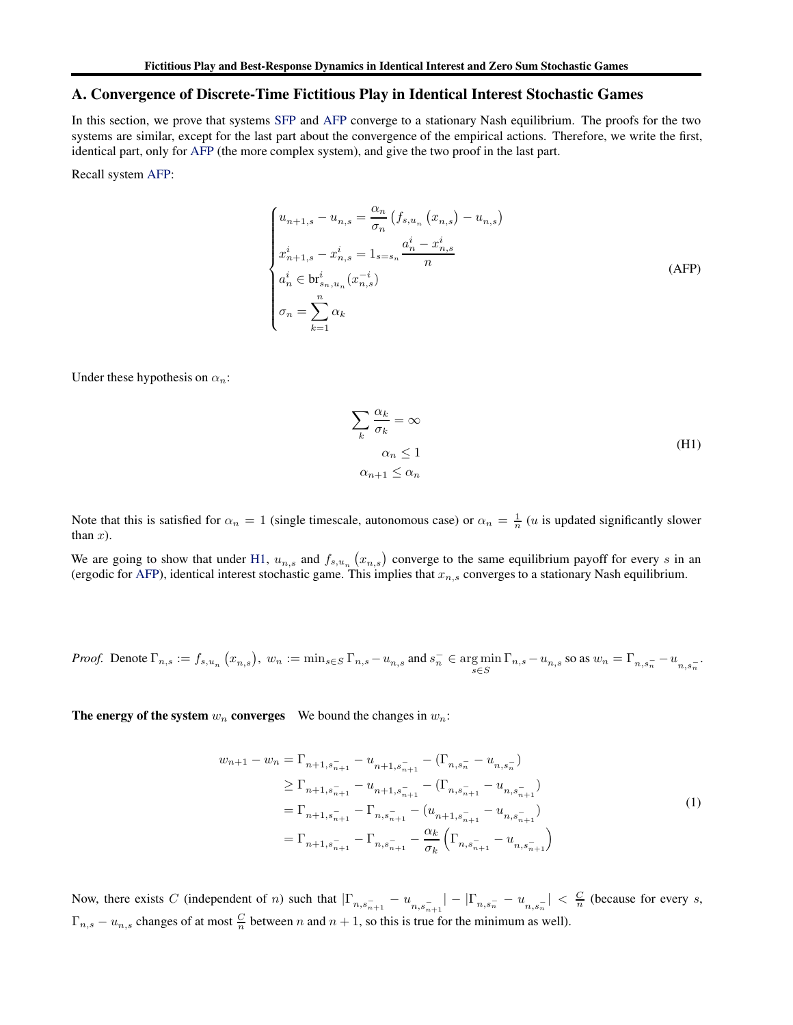### <span id="page-11-0"></span>A. Convergence of Discrete-Time Fictitious Play in Identical Interest Stochastic Games

In this section, we prove that systems [SFP](#page-4-1) and [AFP](#page-4-1) converge to a stationary Nash equilibrium. The proofs for the two systems are similar, except for the last part about the convergence of the empirical actions. Therefore, we write the first, identical part, only for [AFP](#page-4-1) (the more complex system), and give the two proof in the last part.

Recall system [AFP:](#page-4-1)

$$
\begin{cases}\n u_{n+1,s} - u_{n,s} = \frac{\alpha_n}{\sigma_n} \left( f_{s,u_n} \left( x_{n,s} \right) - u_{n,s} \right) \\
 x_{n+1,s}^i - x_{n,s}^i = 1_{s=s_n} \frac{a_n^i - x_{n,s}^i}{n} \\
 a_n^i \in \text{br}_{s_n, u_n}^i(x_{n,s}^{-i}) \\
 \sigma_n = \sum_{k=1}^n \alpha_k\n\end{cases} \tag{APP}
$$

Under these hypothesis on  $\alpha_n$ :

$$
\sum_{k} \frac{\alpha_k}{\sigma_k} = \infty
$$
  
\n
$$
\alpha_n \le 1
$$
  
\n
$$
\alpha_{n+1} \le \alpha_n
$$
 (H1)

Note that this is satisfied for  $\alpha_n = 1$  (single timescale, autonomous case) or  $\alpha_n = \frac{1}{n}$  (*u* is updated significantly slower than  $x$ ).

We are going to show that under [H1,](#page-11-1)  $u_{n,s}$  and  $f_{s,u_n}(x_{n,s})$  converge to the same equilibrium payoff for every s in an (ergodic for [AFP\)](#page-4-1), identical interest stochastic game. This implies that  $x_{n,s}$  converges to a stationary Nash equilibrium.

*Proof.* Denote 
$$
\Gamma_{n,s} := f_{s,u_n}(x_{n,s}), w_n := \min_{s \in S} \Gamma_{n,s} - u_{n,s}
$$
 and  $s_n^- \in \arg\min_{s \in S} \Gamma_{n,s} - u_{n,s}$  so as  $w_n = \Gamma_{n,s_n^-} - u_{n,s_n^-}$ .

The energy of the system  $w_n$  converges We bound the changes in  $w_n$ :

<span id="page-11-1"></span>
$$
w_{n+1} - w_n = \Gamma_{n+1, s_{n+1}^-} - u_{n+1, s_{n+1}^-} - (\Gamma_{n, s_n^-} - u_{n, s_n^-})
$$
  
\n
$$
\geq \Gamma_{n+1, s_{n+1}^-} - u_{n+1, s_{n+1}^-} - (\Gamma_{n, s_{n+1}^-} - u_{n, s_{n+1}^-})
$$
  
\n
$$
= \Gamma_{n+1, s_{n+1}^-} - \Gamma_{n, s_{n+1}^-} - (u_{n+1, s_{n+1}^-} - u_{n, s_{n+1}^-})
$$
  
\n
$$
= \Gamma_{n+1, s_{n+1}^-} - \Gamma_{n, s_{n+1}^-} - \frac{\alpha_k}{\sigma_k} (\Gamma_{n, s_{n+1}^-} - u_{n, s_{n+1}^-})
$$
\n(1)

Now, there exists C (independent of n) such that  $|\Gamma_{n,s_{n+1}^-} - u_{n,s_{n+1}^-}| - |\Gamma_{n,s_n^-} - u_{n,s_n^-}| < \frac{C}{n}$  (because for every s,  $\Gamma_{n,s} - u_{n,s}$  changes of at most  $\frac{C}{n}$  between n and  $n+1$ , so this is true for the minimum as well).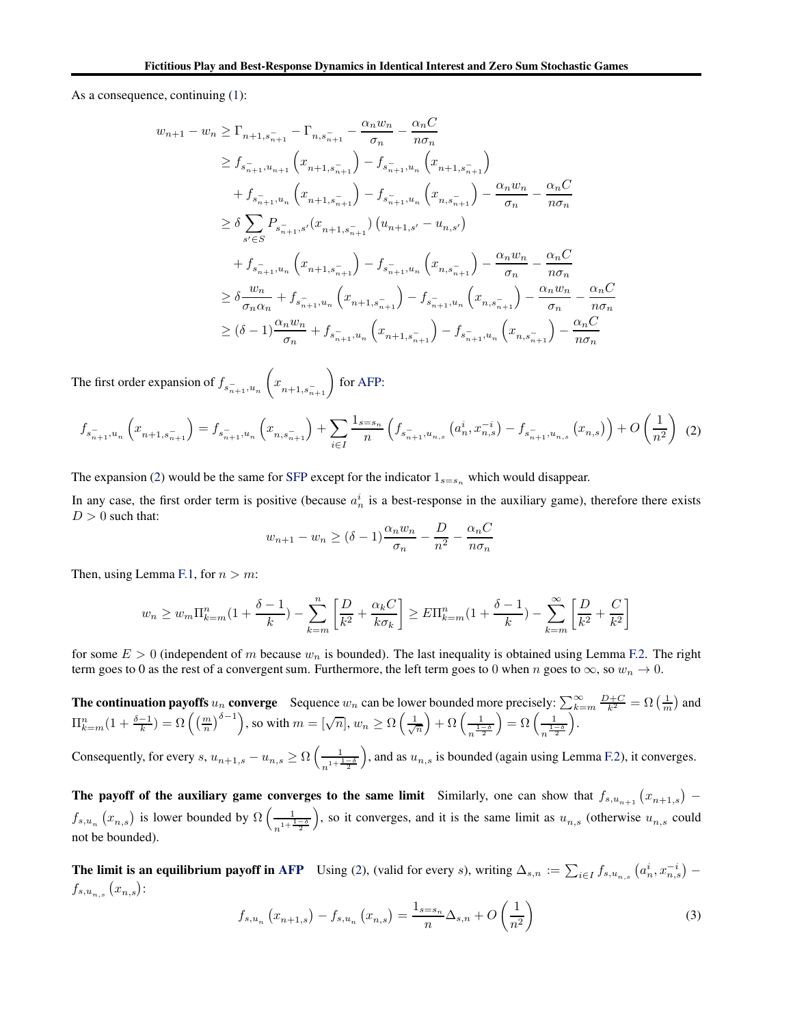As a consequence, continuing [\(1\)](#page-11-1):

$$
w_{n+1} - w_n \ge \Gamma_{n+1, s_{n+1}^-} - \Gamma_{n, s_{n+1}^-} - \frac{\alpha_n w_n}{\sigma_n} - \frac{\alpha_n C}{n \sigma_n}
$$
  
\n
$$
\ge f_{s_{n+1}^-, u_{n+1}} (x_{n+1, s_{n+1}^-}) - f_{s_{n+1}^-, u_n} (x_{n+1, s_{n+1}^-})
$$
  
\n
$$
+ f_{s_{n+1}^-, u_n} (x_{n+1, s_{n+1}^-}) - f_{s_{n+1}^-, u_n} (x_{n, s_{n+1}^-}) - \frac{\alpha_n w_n}{\sigma_n} - \frac{\alpha_n C}{n \sigma_n}
$$
  
\n
$$
\ge \delta \sum_{s' \in S} P_{s_{n+1}^-, s'} (x_{n+1, s_{n+1}^-}) (u_{n+1, s'} - u_{n, s'})
$$
  
\n
$$
+ f_{s_{n+1}^-, u_n} (x_{n+1, s_{n+1}^-}) - f_{s_{n+1}^-, u_n} (x_{n, s_{n+1}^-}) - \frac{\alpha_n w_n}{\sigma_n} - \frac{\alpha_n C}{n \sigma_n}
$$
  
\n
$$
\ge \delta \frac{w_n}{\sigma_n \alpha_n} + f_{s_{n+1}^-, u_n} (x_{n+1, s_{n+1}^-}) - f_{s_{n+1}^-, u_n} (x_{n, s_{n+1}^-}) - \frac{\alpha_n w_n}{\sigma_n} - \frac{\alpha_n C}{n \sigma_n}
$$
  
\n
$$
\ge (\delta - 1) \frac{\alpha_n w_n}{\sigma_n} + f_{s_{n+1}^-, u_n} (x_{n+1, s_{n+1}^-}) - f_{s_{n+1}^-, u_n} (x_{n, s_{n+1}^-}) - \frac{\alpha_n C}{\sigma_n}
$$

The first order expansion of  $f_{s_{n+1},u_n}$  $\left(x_{n+1,s_{n+1}^{-}}\right)$  for [AFP:](#page-4-1)

$$
f_{s_{n+1}^{-},u_n}\left(x_{n+1,s_{n+1}^{-}}\right) = f_{s_{n+1}^{-},u_n}\left(x_{n,s_{n+1}^{-}}\right) + \sum_{i \in I} \frac{1_{s=s_n}}{n} \left(f_{s_{n+1}^{-},u_{n,s}}\left(a_n^i,x_{n,s}^{-i}\right) - f_{s_{n+1}^{-},u_{n,s}}\left(x_{n,s}\right)\right) + O\left(\frac{1}{n^2}\right)
$$
(2)

The expansion [\(2\)](#page-12-0) would be the same for [SFP](#page-4-1) except for the indicator  $1_{s=s_n}$  which would disappear.

In any case, the first order term is positive (because  $a_n^i$  is a best-response in the auxiliary game), therefore there exists  $D > 0$  such that:

<span id="page-12-0"></span>
$$
w_{n+1} - w_n \ge (\delta - 1)\frac{\alpha_n w_n}{\sigma_n} - \frac{D}{n^2} - \frac{\alpha_n C}{n \sigma_n}
$$

Then, using Lemma [F.1,](#page-25-0) for  $n > m$ :

$$
w_n \ge w_m \Pi_{k=m}^n (1 + \frac{\delta - 1}{k}) - \sum_{k=m}^n \left[ \frac{D}{k^2} + \frac{\alpha_k C}{k \sigma_k} \right] \ge E \Pi_{k=m}^n (1 + \frac{\delta - 1}{k}) - \sum_{k=m}^\infty \left[ \frac{D}{k^2} + \frac{C}{k^2} \right]
$$

for some  $E > 0$  (independent of m because  $w_n$  is bounded). The last inequality is obtained using Lemma [F.2.](#page-26-0) The right term goes to 0 as the rest of a convergent sum. Furthermore, the left term goes to 0 when n goes to  $\infty$ , so  $w_n \to 0$ .

**The continuation payoffs**  $u_n$  converge Sequence  $w_n$  can be lower bounded more precisely:  $\sum_{k=m}^{\infty} \frac{D+C}{k^2} = \Omega\left(\frac{1}{m}\right)$  and  $\Pi_{k=m}^n(1+\frac{\delta-1}{k})=\Omega\left(\left(\frac{m}{n}\right)^{\delta-1}\right)$ , so with  $m=[\sqrt{n}],$   $w_n\geq\Omega\left(\frac{1}{\sqrt{n}}\right)+\Omega\left(\frac{1}{\sqrt{n}}\right)$  $n^{\frac{1-\delta}{2}}$  $= \Omega \left( \frac{1}{1 - 1} \right)$  $n^{\frac{1-\delta}{2}}$ .

Consequently, for every  $s$ ,  $u_{n+1,s} - u_{n,s} \ge \Omega\left(\frac{1}{n+1}\right)$  $n^{1+\frac{1-\delta}{2}}$ ), and as  $u_{n,s}$  is bounded (again using Lemma [F.2\)](#page-26-0), it converges.

The payoff of the auxiliary game converges to the same limit Similarly, one can show that  $f_{s,u_{n+1}}(x_{n+1,s})$  –  $f_{s,u_n}(x_{n,s})$  is lower bounded by  $\Omega\left(\frac{1}{\lambda^{1+\frac{1}{2}}} \right)$  $n^{1 + \frac{1-\delta}{2}}$ ), so it converges, and it is the same limit as  $u_{n,s}$  (otherwise  $u_{n,s}$  could not be bounded).

<span id="page-12-1"></span>**The limit is an equilibrium payoff in [AFP](#page-4-1)** Using [\(2\)](#page-12-0), (valid for every s), writing  $\Delta_{s,n} := \sum_{i \in I} f_{s,u_{n,s}} (a_n^i, x_{n,s}^{-i})$  $f_{s,u_{n,s}}(x_{n,s})$ :

$$
f_{s,u_n}(x_{n+1,s}) - f_{s,u_n}(x_{n,s}) = \frac{1_{s=s_n}}{n} \Delta_{s,n} + O\left(\frac{1}{n^2}\right)
$$
 (3)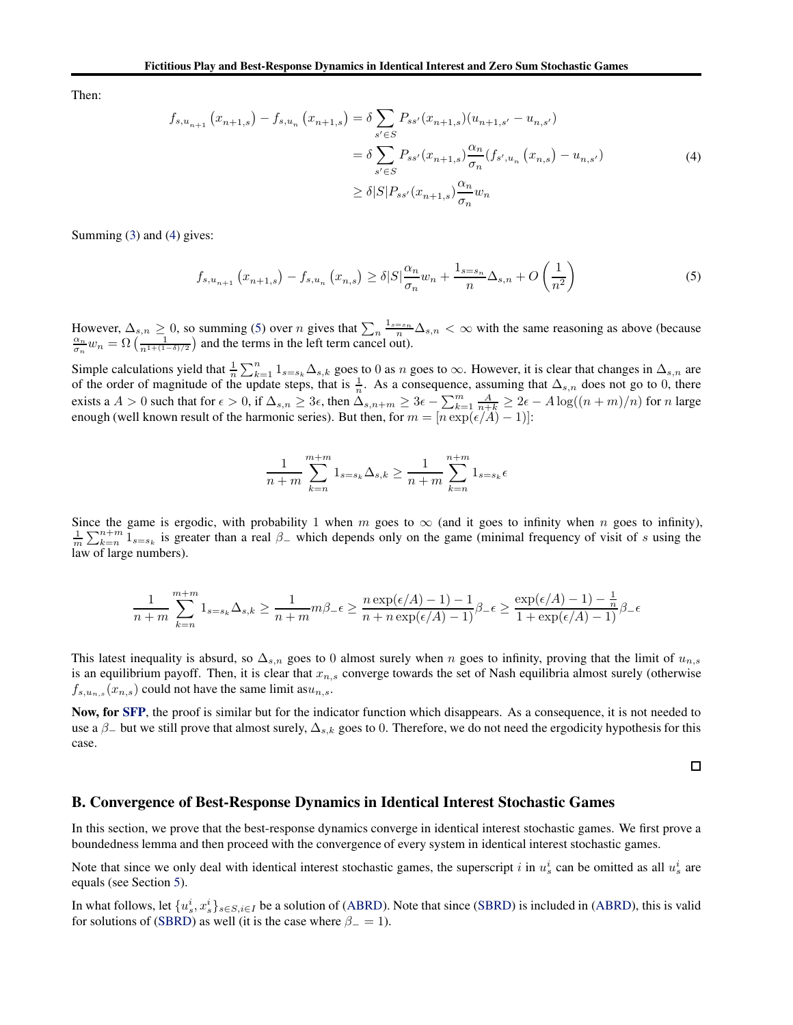<span id="page-13-1"></span>Then:

$$
f_{s,u_{n+1}}(x_{n+1,s}) - f_{s,u_n}(x_{n+1,s}) = \delta \sum_{s' \in S} P_{ss'}(x_{n+1,s})(u_{n+1,s'} - u_{n,s'})
$$
  

$$
= \delta \sum_{s' \in S} P_{ss'}(x_{n+1,s}) \frac{\alpha_n}{\sigma_n} (f_{s',u_n}(x_{n,s}) - u_{n,s'})
$$
  

$$
\geq \delta |S| P_{ss'}(x_{n+1,s}) \frac{\alpha_n}{\sigma_n} w_n
$$
 (4)

Summing [\(3\)](#page-12-1) and [\(4\)](#page-13-1) gives:

<span id="page-13-2"></span>
$$
f_{s,u_{n+1}}(x_{n+1,s}) - f_{s,u_n}(x_{n,s}) \ge \delta |S| \frac{\alpha_n}{\sigma_n} w_n + \frac{1_{s=s_n}}{n} \Delta_{s,n} + O\left(\frac{1}{n^2}\right)
$$
(5)

However,  $\Delta_{s,n} \ge 0$ , so summing [\(5\)](#page-13-2) over *n* gives that  $\sum_{n} \frac{1_{s=s_n}}{n} \Delta_{s,n} < \infty$  with the same reasoning as above (because  $\frac{\alpha_n}{\sigma_n} w_n = \Omega \left( \frac{1}{n^{1+(1-\delta)/2}} \right)$  and the terms in the left term cancel out).

Simple calculations yield that  $\frac{1}{n} \sum_{k=1}^{n} 1_{s=s_k} \Delta_{s,k}$  goes to 0 as n goes to  $\infty$ . However, it is clear that changes in  $\Delta_{s,n}$  are of the order of magnitude of the update steps, that is  $\frac{1}{n}$ . As a consequence, assuming that  $\Delta_{s,n}$  does not go to 0, there exists a  $A > 0$  such that for  $\epsilon > 0$ , if  $\Delta_{s,n} \geq 3\epsilon$ , then  $\Delta_{s,n+m} \geq 3\epsilon - \sum_{k=1}^{m} \frac{A}{n+k} \geq 2\epsilon - A \log((n+m)/n)$  for n large enough (well known result of the harmonic series). But then, for  $m = [n \exp(\epsilon/A) - 1]$ :

$$
\frac{1}{n+m} \sum_{k=n}^{m+m} 1_{s=s_k} \Delta_{s,k} \ge \frac{1}{n+m} \sum_{k=n}^{n+m} 1_{s=s_k} \epsilon
$$

Since the game is ergodic, with probability 1 when m goes to  $\infty$  (and it goes to infinity when n goes to infinity),  $\frac{1}{m}\sum_{k=n}^{n+m}1_{s=s_k}$  is greater than a real  $\beta_-$  which depends only on the game (minimal frequency of visit of s using the law of large numbers).

$$
\frac{1}{n+m}\sum_{k=n}^{m+m}1_{s=s_k}\Delta_{s,k}\geq \frac{1}{n+m}m\beta_-\epsilon\geq \frac{n\exp(\epsilon/A)-1)-1}{n+n\exp(\epsilon/A)-1}\beta_-\epsilon\geq \frac{\exp(\epsilon/A)-1)-\frac{1}{n}}{1+\exp(\epsilon/A)-1}\beta_-\epsilon
$$

This latest inequality is absurd, so  $\Delta_{s,n}$  goes to 0 almost surely when n goes to infinity, proving that the limit of  $u_{n,s}$ is an equilibrium payoff. Then, it is clear that  $x_{n,s}$  converge towards the set of Nash equilibria almost surely (otherwise  $f_{s,u_{n,s}}(x_{n,s})$  could not have the same limit as  $u_{n,s}$ .

Now, for [SFP](#page-4-1), the proof is similar but for the indicator function which disappears. As a consequence, it is not needed to use a  $\beta$ <sub>-</sub> but we still prove that almost surely,  $\Delta_{s,k}$  goes to 0. Therefore, we do not need the ergodicity hypothesis for this case.

 $\Box$ 

### <span id="page-13-0"></span>B. Convergence of Best-Response Dynamics in Identical Interest Stochastic Games

In this section, we prove that the best-response dynamics converge in identical interest stochastic games. We first prove a boundedness lemma and then proceed with the convergence of every system in identical interest stochastic games.

Note that since we only deal with identical interest stochastic games, the superscript i in  $u_s^i$  can be omitted as all  $u_s^i$  are equals (see Section [5\)](#page-5-0).

In what follows, let  $\{u_s^i, x_s^i\}_{s \in S, i \in I}$  be a solution of [\(ABRD\)](#page-6-1). Note that since [\(SBRD\)](#page-6-1) is included in [\(ABRD\)](#page-6-1), this is valid for solutions of [\(SBRD\)](#page-6-1) as well (it is the case where  $\beta = 1$ ).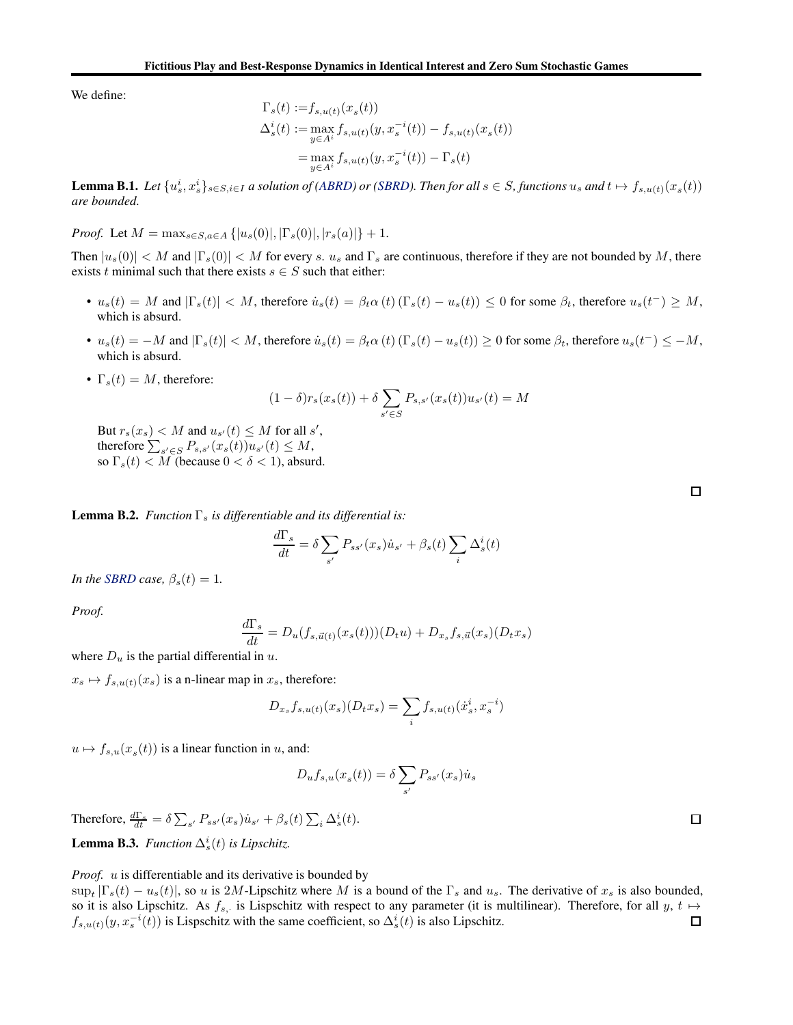We define:

$$
\Gamma_s(t) := f_{s,u(t)}(x_s(t))
$$
  
\n
$$
\Delta_s^i(t) := \max_{y \in A^i} f_{s,u(t)}(y, x_s^{-i}(t)) - f_{s,u(t)}(x_s(t))
$$
  
\n
$$
= \max_{y \in A^i} f_{s,u(t)}(y, x_s^{-i}(t)) - \Gamma_s(t)
$$

<span id="page-14-0"></span>**Lemma B.1.** Let  $\{u_s^i, x_s^i\}_{s \in S, i \in I}$  a solution of [\(ABRD\)](#page-6-1) or [\(SBRD\)](#page-6-1). Then for all  $s \in S$ , functions  $u_s$  and  $t \mapsto f_{s,u(t)}(x_s(t))$ *are bounded.*

*Proof.* Let  $M = \max_{s \in S, a \in A} \{ |u_s(0)|, |\Gamma_s(0)|, |r_s(a)| \} + 1.$ 

Then  $|u_s(0)| < M$  and  $|\Gamma_s(0)| < M$  for every s.  $u_s$  and  $\Gamma_s$  are continuous, therefore if they are not bounded by M, there exists t minimal such that there exists  $s \in S$  such that either:

- $u_s(t) = M$  and  $|\Gamma_s(t)| < M$ , therefore  $\dot{u}_s(t) = \beta_t \alpha(t) (\Gamma_s(t) u_s(t)) \leq 0$  for some  $\beta_t$ , therefore  $u_s(t^-) \geq M$ , which is absurd.
- $u_s(t) = -M$  and  $|\Gamma_s(t)| < M$ , therefore  $\dot{u}_s(t) = \beta_t \alpha(t) (\Gamma_s(t) u_s(t)) \ge 0$  for some  $\beta_t$ , therefore  $u_s(t^-) \le -M$ , which is absurd.
- $\Gamma_s(t) = M$ , therefore:

$$
(1 - \delta)r_s(x_s(t)) + \delta \sum_{s' \in S} P_{s,s'}(x_s(t))u_{s'}(t) = M
$$

But  $r_s(x_s) < M$  and  $u_{s'}(t) \leq M$  for all  $s'$ , therefore  $\sum_{s' \in S} P_{s,s'}(x_s(t))u_{s'}(t) \leq M$ , so  $\Gamma_s(t) < M$  (because  $0 < \delta < 1$ ), absurd.

<span id="page-14-1"></span>**Lemma B.2.** *Function*  $\Gamma_s$  *is differentiable and its differential is:* 

$$
\frac{d\Gamma_s}{dt} = \delta \sum_{s'} P_{ss'}(x_s) \dot{u}_{s'} + \beta_s(t) \sum_i \Delta_s^i(t)
$$

*In the [SBRD](#page-6-1) case,*  $\beta_s(t) = 1$ *.* 

*Proof.*

$$
\frac{d\Gamma_s}{dt} = D_u(f_{s,\vec{u}(t)}(x_s(t)))(D_t u) + D_{x_s}f_{s,\vec{u}}(x_s)(D_t x_s)
$$

where  $D_u$  is the partial differential in u.

 $x_s \mapsto f_{s,u(t)}(x_s)$  is a n-linear map in  $x_s$ , therefore:

$$
D_{x_s} f_{s,u(t)}(x_s) (D_t x_s) = \sum_i f_{s,u(t)}(\dot{x}_s^i, x_s^{-i})
$$

 $u \mapsto f_{s,u}(x_s(t))$  is a linear function in u, and:

$$
D_u f_{s,u}(x_s(t)) = \delta \sum_{s'} P_{ss'}(x_s) \dot{u}_s
$$

<span id="page-14-2"></span>Therefore,  $\frac{d\Gamma_s}{dt} = \delta \sum_{s'} P_{ss'}(x_s) \dot{u}_{s'} + \beta_s(t) \sum_i \Delta_s^i(t)$ . **Lemma B.3.** *Function*  $\Delta_s^i(t)$  *is Lipschitz.* 

*Proof. u* is differentiable and its derivative is bounded by

 $\sup_t |\Gamma_s(t) - u_s(t)|$ , so u is 2M-Lipschitz where M is a bound of the  $\Gamma_s$  and  $u_s$ . The derivative of  $x_s$  is also bounded, so it is also Lipschitz. As  $f_{s}$ , is Lispschitz with respect to any parameter (it is multilinear). Therefore, for all  $y$ ,  $t \mapsto$  $f_{s,u(t)}(y, x_s^{-i}(t))$  is Lispschitz with the same coefficient, so  $\Delta_s^i(t)$  is also Lipschitz.

 $\Box$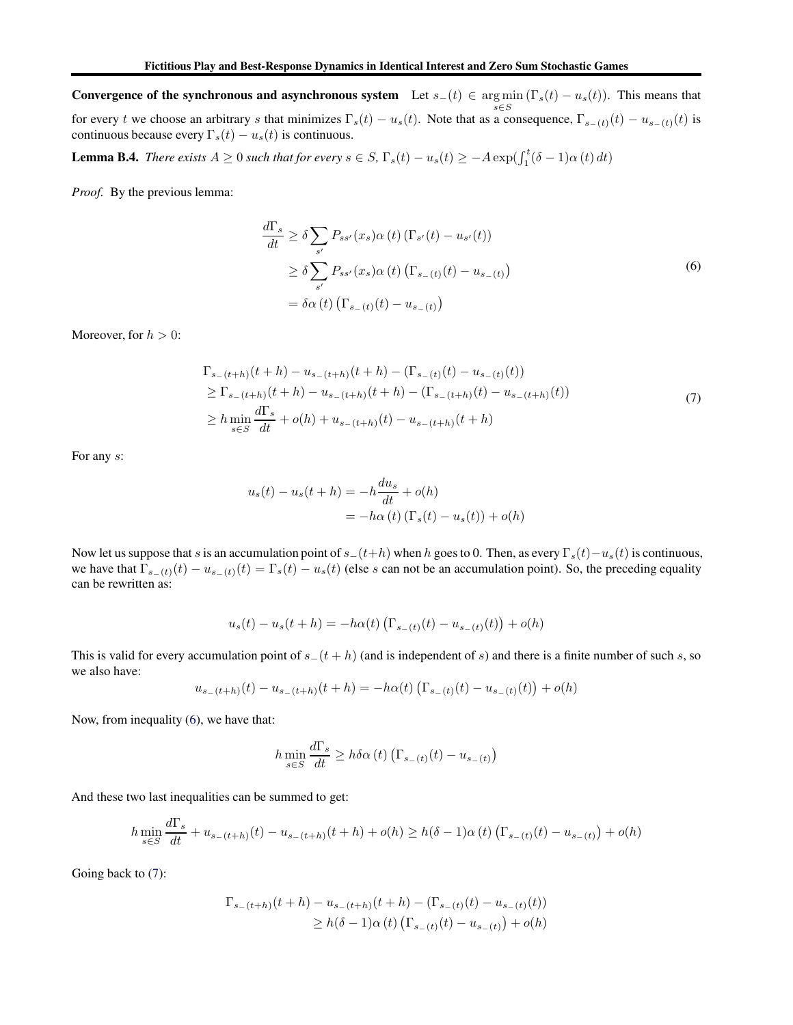Convergence of the synchronous and asynchronous system Let  $s_-(t) \in \argmin_{s \in S} (\Gamma_s(t) - u_s(t))$ . This means that s∈S for every t we choose an arbitrary s that minimizes  $\Gamma_s(t) - u_s(t)$ . Note that as a consequence,  $\Gamma_{s-(t)}(t) - u_{s-(t)}(t)$  is continuous because every  $\Gamma_s(t) - u_s(t)$  is continuous.

<span id="page-15-2"></span>**Lemma B.4.** *There exists*  $A \ge 0$  *such that for every*  $s \in S$ ,  $\Gamma_s(t) - u_s(t) \ge -A \exp(\int_1^t (\delta - 1) \alpha(t) dt)$ 

<span id="page-15-0"></span>*Proof.* By the previous lemma:

$$
\frac{d\Gamma_s}{dt} \ge \delta \sum_{s'} P_{ss'}(x_s) \alpha(t) \left( \Gamma_{s'}(t) - u_{s'}(t) \right)
$$
\n
$$
\ge \delta \sum_{s'} P_{ss'}(x_s) \alpha(t) \left( \Gamma_{s-(t)}(t) - u_{s-(t)} \right)
$$
\n
$$
= \delta \alpha(t) \left( \Gamma_{s-(t)}(t) - u_{s-(t)} \right)
$$
\n(6)

<span id="page-15-1"></span>Moreover, for  $h > 0$ :

$$
\Gamma_{s_{-}(t+h)}(t+h) - u_{s_{-}(t+h)}(t+h) - (\Gamma_{s_{-}(t)}(t) - u_{s_{-}(t)}(t))
$$
\n
$$
\geq \Gamma_{s_{-}(t+h)}(t+h) - u_{s_{-}(t+h)}(t+h) - (\Gamma_{s_{-}(t+h)}(t) - u_{s_{-}(t+h)}(t))
$$
\n
$$
\geq h \min_{s \in S} \frac{d\Gamma_s}{dt} + o(h) + u_{s_{-}(t+h)}(t) - u_{s_{-}(t+h)}(t+h)
$$
\n(7)

For any s:

$$
u_s(t) - u_s(t+h) = -h\frac{du_s}{dt} + o(h)
$$
  
=  $-h\alpha(t) (\Gamma_s(t) - u_s(t)) + o(h)$ 

Now let us suppose that s is an accumulation point of  $s_-(t+h)$  when h goes to 0. Then, as every  $\Gamma_s(t)-u_s(t)$  is continuous, we have that  $\Gamma_{s-(t)}(t) - u_{s-(t)}(t) = \Gamma_s(t) - u_s(t)$  (else s can not be an accumulation point). So, the preceding equality can be rewritten as:

$$
u_s(t) - u_s(t + h) = -h\alpha(t) \left( \Gamma_{s-(t)}(t) - u_{s-(t)}(t) \right) + o(h)
$$

This is valid for every accumulation point of  $s_-(t + h)$  (and is independent of s) and there is a finite number of such s, so we also have:

$$
u_{s-(t+h)}(t) - u_{s-(t+h)}(t+h) = -h\alpha(t) \left( \Gamma_{s-(t)}(t) - u_{s-(t)}(t) \right) + o(h)
$$

Now, from inequality [\(6\)](#page-15-0), we have that:

$$
h \min_{s \in S} \frac{d\Gamma_s}{dt} \ge h \delta \alpha(t) \left( \Gamma_{s-(t)}(t) - u_{s-(t)} \right)
$$

And these two last inequalities can be summed to get:

$$
h \min_{s \in S} \frac{d\Gamma_s}{dt} + u_{s-(t+h)}(t) - u_{s-(t+h)}(t+h) + o(h) \ge h(\delta - 1)\alpha(t) \left( \Gamma_{s-(t)}(t) - u_{s-(t)} \right) + o(h)
$$

Going back to [\(7\)](#page-15-1):

$$
\Gamma_{s_{-}(t+h)}(t+h) - u_{s_{-}(t+h)}(t+h) - (\Gamma_{s_{-}(t)}(t) - u_{s_{-}(t)}(t))
$$
  
\n
$$
\geq h(\delta - 1)\alpha(t) (\Gamma_{s_{-}(t)}(t) - u_{s_{-}(t)}) + o(h)
$$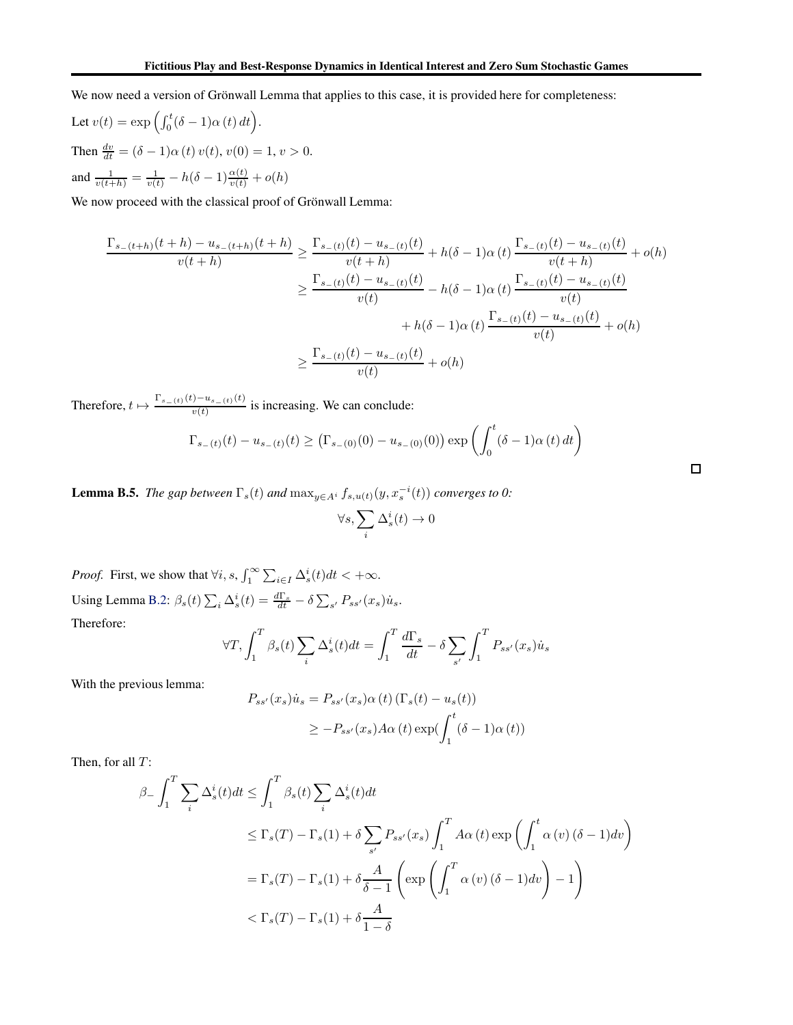We now need a version of Grönwall Lemma that applies to this case, it is provided here for completeness:

Let 
$$
v(t) = \exp\left(\int_0^t (\delta - 1)\alpha(t) dt\right)
$$
.  
\nThen  $\frac{dv}{dt} = (\delta - 1)\alpha(t) v(t), v(0) = 1, v > 0$ .  
\nand  $\frac{1}{v(t+h)} = \frac{1}{v(t)} - h(\delta - 1)\frac{\alpha(t)}{v(t)} + o(h)$ 

We now proceed with the classical proof of Grönwall Lemma:

$$
\frac{\Gamma_{s_{-}(t+h)}(t+h) - u_{s_{-}(t+h)}(t+h)}{v(t+h)} \ge \frac{\Gamma_{s_{-}(t)}(t) - u_{s_{-}(t)}(t)}{v(t+h)} + h(\delta - 1)\alpha(t)\frac{\Gamma_{s_{-}(t)}(t) - u_{s_{-}(t)}(t)}{v(t+h)} + o(h)
$$

$$
\ge \frac{\Gamma_{s_{-}(t)}(t) - u_{s_{-}(t)}(t)}{v(t)} - h(\delta - 1)\alpha(t)\frac{\Gamma_{s_{-}(t)}(t) - u_{s_{-}(t)}(t)}{v(t)} + h(\delta - 1)\alpha(t)\frac{\Gamma_{s_{-}(t)}(t) - u_{s_{-}(t)}(t)}{v(t)} + o(h)
$$

$$
\ge \frac{\Gamma_{s_{-}(t)}(t) - u_{s_{-}(t)}(t)}{v(t)} + o(h)
$$

Therefore,  $t \mapsto \frac{\Gamma_{s_-(t)}(t) - u_{s_-(t)}(t)}{v(t)}$  $\frac{\partial u_{s-(t)}(v)}{\partial v(t)}$  is increasing. We can conclude:

$$
\Gamma_{s_{-}(t)}(t) - u_{s_{-}(t)}(t) \geq (\Gamma_{s_{-}(0)}(0) - u_{s_{-}(0)}(0)) \exp\left(\int_0^t (\delta - 1)\alpha(t) dt\right)
$$

 $\Box$ 

<span id="page-16-0"></span>**Lemma B.5.** *The gap between*  $\Gamma_s(t)$  *and*  $\max_{y \in A^i} f_{s,u(t)}(y, x_s^{-i}(t))$  *converges to 0:* 

$$
\forall s, \sum_i \Delta^i_s(t) \to 0
$$

*Proof.* First, we show that  $\forall i, s, \int_{1}^{\infty} \sum_{i \in I} \Delta_{s}^{i}(t) dt < +\infty$ . Using Lemma [B.2:](#page-14-1)  $\beta_s(t) \sum_i \Delta_s^i(t) = \frac{d\Gamma_s}{dt} - \delta \sum_{s'} P_{ss'}(x_s) \dot{u}_s$ . Therefore:

$$
\forall T, \int_{1}^{T} \beta_{s}(t) \sum_{i} \Delta_{s}^{i}(t) dt = \int_{1}^{T} \frac{d\Gamma_{s}}{dt} - \delta \sum_{s'} \int_{1}^{T} P_{ss'}(x_{s}) \dot{u}_{s}
$$

With the previous lemma:

$$
P_{ss'}(x_s)\dot{u}_s = P_{ss'}(x_s)\alpha(t) \left(\Gamma_s(t) - u_s(t)\right)
$$
  

$$
\geq -P_{ss'}(x_s)A\alpha(t)\exp(\int_1^t (\delta - 1)\alpha(t))
$$

Then, for all  $T$ :

$$
\beta - \int_{1}^{T} \sum_{i} \Delta_{s}^{i}(t)dt \leq \int_{1}^{T} \beta_{s}(t) \sum_{i} \Delta_{s}^{i}(t)dt
$$
  
\n
$$
\leq \Gamma_{s}(T) - \Gamma_{s}(1) + \delta \sum_{s'} P_{ss'}(x_{s}) \int_{1}^{T} A\alpha(t) \exp\left(\int_{1}^{t} \alpha(v) (\delta - 1)dv\right)
$$
  
\n
$$
= \Gamma_{s}(T) - \Gamma_{s}(1) + \delta \frac{A}{\delta - 1} \left(\exp\left(\int_{1}^{T} \alpha(v) (\delta - 1)dv\right) - 1\right)
$$
  
\n
$$
< \Gamma_{s}(T) - \Gamma_{s}(1) + \delta \frac{A}{1 - \delta}
$$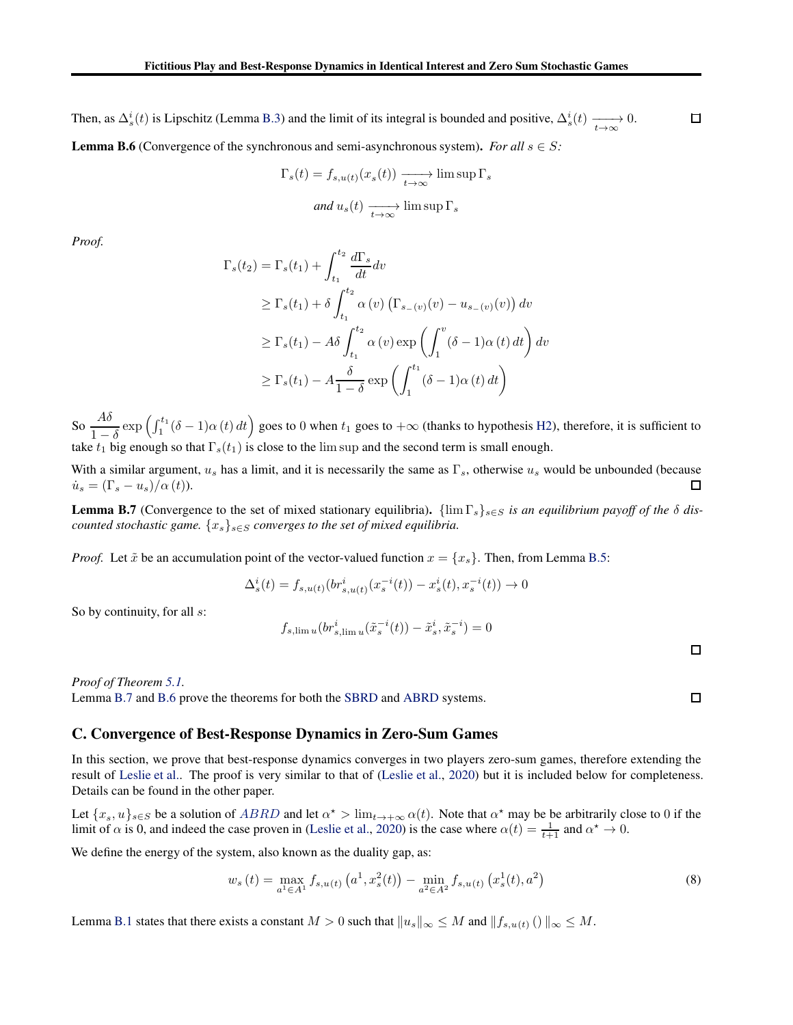<span id="page-17-2"></span>Then, as  $\Delta_s^i(t)$  is Lipschitz (Lemma [B.3\)](#page-14-2) and the limit of its integral is bounded and positive,  $\Delta_s^i(t) \xrightarrow[t \to \infty]{} 0$ . **Lemma B.6** (Convergence of the synchronous and semi-asynchronous system). *For all*  $s \in S$ :

$$
\Gamma_s(t) = f_{s, u(t)}(x_s(t)) \xrightarrow[t \to \infty]{} \limsup \Gamma_s
$$
  
and  $u_s(t) \xrightarrow[t \to \infty]{} \limsup \Gamma_s$ 

*Proof.*

$$
\Gamma_s(t_2) = \Gamma_s(t_1) + \int_{t_1}^{t_2} \frac{d\Gamma_s}{dt} dv
$$
  
\n
$$
\geq \Gamma_s(t_1) + \delta \int_{t_1}^{t_2} \alpha(v) \left( \Gamma_{s_{-}(v)}(v) - u_{s_{-}(v)}(v) \right) dv
$$
  
\n
$$
\geq \Gamma_s(t_1) - A\delta \int_{t_1}^{t_2} \alpha(v) \exp\left( \int_1^v (\delta - 1) \alpha(t) dt \right) dv
$$
  
\n
$$
\geq \Gamma_s(t_1) - A \frac{\delta}{1 - \delta} \exp\left( \int_1^{t_1} (\delta - 1) \alpha(t) dt \right)
$$

So  $\frac{A\delta}{A}$  $1-\delta$  $\exp\left(\int_1^{t_1} (\delta - 1)\alpha(t) dt\right)$  goes to 0 when  $t_1$  goes to  $+\infty$  (thanks to hypothesis [H2\)](#page-6-1), therefore, it is sufficient to take  $t_1$  big enough so that  $\Gamma_s(t_1)$  is close to the lim sup and the second term is small enough.

With a similar argument,  $u_s$  has a limit, and it is necessarily the same as  $\Gamma_s$ , otherwise  $u_s$  would be unbounded (because  $\dot{u}_s = (\Gamma_s - u_s)/\alpha(t)$ ). □

<span id="page-17-1"></span>**Lemma B.7** (Convergence to the set of mixed stationary equilibria).  $\{\lim_{s}\Gamma_{s}\}_{s\in S}$  *is an equilibrium payoff of the*  $\delta$  *discounted stochastic game.*  $\{x_s\}_{s\in S}$  *converges to the set of mixed equilibria.* 

*Proof.* Let  $\tilde{x}$  be an accumulation point of the vector-valued function  $x = \{x_s\}$ . Then, from Lemma [B.5:](#page-16-0)

$$
\Delta_s^i(t) = f_{s,u(t)}(br_{s,u(t)}^i(x_s^{-i}(t)) - x_s^i(t), x_s^{-i}(t)) \to 0
$$

So by continuity, for all  $s$ :

$$
f_{s,\lim u}(br_{s,\lim u}'(\tilde{x}_s^{-i}(t)) - \tilde{x}_s^i, \tilde{x}_s^{-i}) = 0
$$

 $\Box$ 

 $\Box$ 

*Proof of Theorem [5.1.](#page-6-3)* Lemma [B.7](#page-17-1) and [B.6](#page-17-2) prove the theorems for both the [SBRD](#page-6-1) and [ABRD](#page-6-1) systems.

### <span id="page-17-0"></span>C. Convergence of Best-Response Dynamics in Zero-Sum Games

In this section, we prove that best-response dynamics converges in two players zero-sum games, therefore extending the result of [Leslie et al.](#page-9-1). The proof is very similar to that of [\(Leslie et al.](#page-9-1), [2020\)](#page-9-1) but it is included below for completeness. Details can be found in the other paper.

Let  $\{x_s, u\}_{s \in S}$  be a solution of  $ABRD$  and let  $\alpha^* > \lim_{t \to +\infty} \alpha(t)$ . Note that  $\alpha^*$  may be be arbitrarily close to 0 if the limit of  $\alpha$  is 0, and indeed the case proven in [\(Leslie et al.](#page-9-1), [2020\)](#page-9-1) is the case where  $\alpha(t) = \frac{1}{t+1}$  and  $\alpha^* \to 0$ .

We define the energy of the system, also known as the duality gap, as:

$$
w_s(t) = \max_{a^1 \in A^1} f_{s,u(t)}\left(a^1, x_s^2(t)\right) - \min_{a^2 \in A^2} f_{s,u(t)}\left(x_s^1(t), a^2\right)
$$
(8)

Lemma [B.1](#page-14-0) states that there exists a constant  $M > 0$  such that  $||u_s||_{\infty} \leq M$  and  $||f_{s,u(t)}||_{\infty} \leq M$ .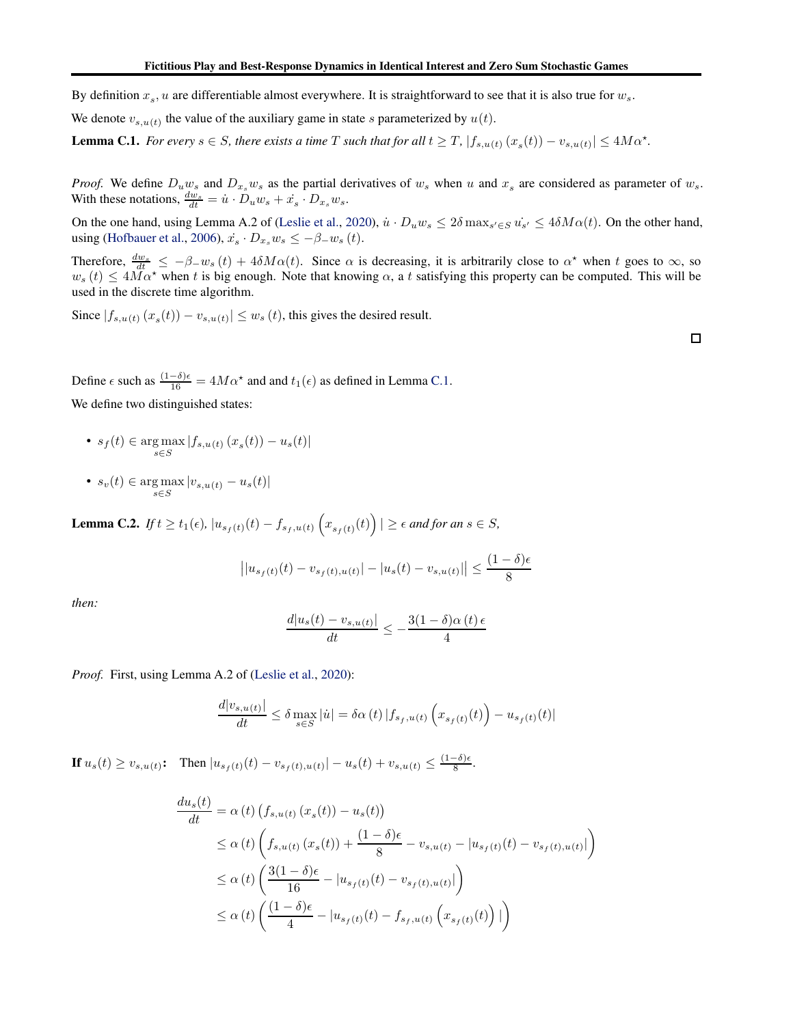By definition  $x_s$ , u are differentiable almost everywhere. It is straightforward to see that it is also true for  $w_s$ .

<span id="page-18-0"></span>We denote  $v_{s,u(t)}$  the value of the auxiliary game in state s parameterized by  $u(t)$ .

**Lemma C.1.** For every  $s \in S$ , there exists a time T such that for all  $t \geq T$ ,  $|f_{s,u(t)}(x_s(t)) - v_{s,u(t)}| \leq 4M\alpha^*$ .

*Proof.* We define  $D_u w_s$  and  $D_{x_s} w_s$  as the partial derivatives of  $w_s$  when u and  $x_s$  are considered as parameter of  $w_s$ . With these notations,  $\frac{dw_s}{dt} = \dot{u} \cdot D_u w_s + \dot{x}_s \cdot D_{x_s} w_s$ .

On the one hand, using Lemma A.2 of [\(Leslie et al.,](#page-9-1) [2020\)](#page-9-1),  $\dot{u} \cdot D_u w_s \le 2\delta \max_{s' \in S} u_{s'} \le 4\delta M \alpha(t)$ . On the other hand, using [\(Hofbauer et al.](#page-9-20), [2006](#page-9-20)),  $\dot{x}_s \cdot D_{x_s} w_s \le -\beta_{-} w_s(t)$ .

Therefore,  $\frac{dw_s}{dt} \leq -\beta - w_s(t) + 4\delta M\alpha(t)$ . Since  $\alpha$  is decreasing, it is arbitrarily close to  $\alpha^*$  when t goes to  $\infty$ , so  $w_s(t) \leq 4M\alpha^*$  when t is big enough. Note that knowing  $\alpha$ , a t satisfying this property can be computed. This will be used in the discrete time algorithm.

Since  $|f_{s,u(t)}(x_s(t)) - v_{s,u(t)}| \le w_s(t)$ , this gives the desired result.

Define  $\epsilon$  such as  $\frac{(1-\delta)\epsilon}{16} = 4M\alpha^*$  and and  $t_1(\epsilon)$  as defined in Lemma [C.1.](#page-18-0)

We define two distinguished states:

- $s_f(t) \in \arg \max_{s \in S} |f_{s,u(t)}(x_s(t)) u_s(t)|$
- $s_v(t) \in \argmax_{s \in S} |v_{s,u(t)} u_s(t)|$

<span id="page-18-1"></span>**Lemma C.2.** *If*  $t \ge t_1(\epsilon)$ ,  $|u_{s_f(t)}(t) - f_{s_f, u(t)}(x_{s_f(t)}(t))| \ge \epsilon$  *and for an*  $s \in S$ *,* 

$$
||u_{s_f(t)}(t) - v_{s_f(t),u(t)}| - |u_s(t) - v_{s,u(t)}|| \le \frac{(1-\delta)\epsilon}{8}
$$

*then:*

$$
\frac{d|u_s(t) - v_{s,u(t)}|}{dt} \le -\frac{3(1-\delta)\alpha(t)\epsilon}{4}
$$

*Proof.* First, using Lemma A.2 of [\(Leslie et al.,](#page-9-1) [2020\)](#page-9-1):

$$
\frac{d|v_{s,u(t)}|}{dt} \le \delta \max_{s \in S} |\dot{u}| = \delta \alpha(t) |f_{s_f,u(t)}(x_{s_f(t)}(t)) - u_{s_f(t)}(t)|
$$

**If**  $u_s(t) \ge v_{s,u(t)}$ : Then  $|u_{s_f(t)}(t) - v_{s_f(t),u(t)}| - u_s(t) + v_{s,u(t)} \le \frac{(1-\delta)\epsilon}{8}$ .

$$
\frac{du_s(t)}{dt} = \alpha(t) \left( f_{s,u(t)}(x_s(t)) - u_s(t) \right)
$$
\n
$$
\leq \alpha(t) \left( f_{s,u(t)}(x_s(t)) + \frac{(1-\delta)\epsilon}{8} - v_{s,u(t)} - |u_{s_f(t)}(t) - v_{s_f(t),u(t)}| \right)
$$
\n
$$
\leq \alpha(t) \left( \frac{3(1-\delta)\epsilon}{16} - |u_{s_f(t)}(t) - v_{s_f(t),u(t)}| \right)
$$
\n
$$
\leq \alpha(t) \left( \frac{(1-\delta)\epsilon}{4} - |u_{s_f(t)}(t) - f_{s_f,u(t)}(x_{s_f(t)}(t))| \right)
$$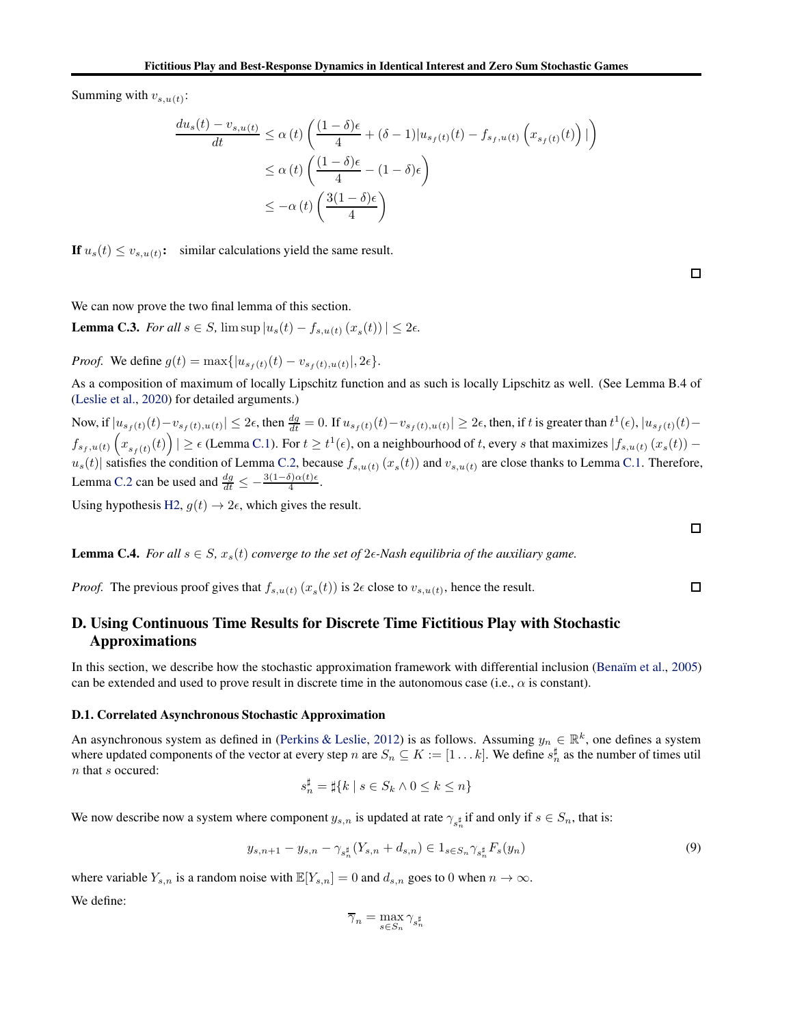Summing with  $v_{s,u(t)}$ :

$$
\frac{du_s(t) - v_{s,u(t)}}{dt} \le \alpha(t) \left( \frac{(1-\delta)\epsilon}{4} + (\delta - 1)|u_{s_f(t)}(t) - f_{s_f,u(t)}(x_{s_f(t)}(t))| \right)
$$
  

$$
\le \alpha(t) \left( \frac{(1-\delta)\epsilon}{4} - (1-\delta)\epsilon \right)
$$
  

$$
\le -\alpha(t) \left( \frac{3(1-\delta)\epsilon}{4} \right)
$$

If  $u_s(t) \le v_{s,u(t)}$ : similar calculations yield the same result.

<span id="page-19-2"></span>We can now prove the two final lemma of this section.

**Lemma C.3.** *For all*  $s \in S$ ,  $\limsup |u_s(t) - f_{s,u(t)}(x_s(t))| \leq 2\epsilon$ *.* 

*Proof.* We define  $g(t) = \max\{|u_{s_f(t)}(t) - v_{s_f(t),u(t)}|, 2\epsilon\}.$ 

As a composition of maximum of locally Lipschitz function and as such is locally Lipschitz as well. (See Lemma B.4 of [\(Leslie et al.,](#page-9-1) [2020\)](#page-9-1) for detailed arguments.)

Now, if  $|u_{s_f(t)}(t)-v_{s_f(t),u(t)}|\leq 2\epsilon$ , then  $\frac{dg}{dt}=0$ . If  $u_{s_f(t)}(t)-v_{s_f(t),u(t)}|\geq 2\epsilon$ , then, if t is greater than  $t^1(\epsilon), |u_{s_f(t)}(t)-v_{s_f(t),u(t)}|\geq 2\epsilon$  $f_{s_f, u(t)}\left(x_{s_f(t)}(t)\right) \ge \epsilon$  (Lemma [C.1\)](#page-18-0). For  $t \ge t^1(\epsilon)$ , on a neighbourhood of t, every s that maximizes  $|f_{s, u(t)}(x_s(t))$  $u_s(t)$  satisfies the condition of Lemma [C.2,](#page-18-1) because  $f_{s,u(t)}(x_s(t))$  and  $v_{s,u(t)}$  are close thanks to Lemma [C.1.](#page-18-0) Therefore, Lemma [C.2](#page-18-1) can be used and  $\frac{dg}{dt} \leq -\frac{3(1-\delta)\alpha(t)\epsilon}{4}$ .

Using hypothesis [H2,](#page-6-1)  $g(t) \rightarrow 2\epsilon$ , which gives the result.

**Lemma C.4.** *For all*  $s \in S$ *,*  $x_s(t)$  *converge to the set of*  $2\epsilon$ *-Nash equilibria of the auxiliary game.* 

<span id="page-19-0"></span>*Proof.* The previous proof gives that  $f_{s,u(t)}(x_s(t))$  is  $2\epsilon$  close to  $v_{s,u(t)}$ , hence the result.

# D. Using Continuous Time Results for Discrete Time Fictitious Play with Stochastic Approximations

In this section, we describe how the stochastic approximation framework with differential inclusion (Benaïm et al., [2005\)](#page-8-13) can be extended and used to prove result in discrete time in the autonomous case (i.e.,  $\alpha$  is constant).

### D.1. Correlated Asynchronous Stochastic Approximation

An asynchronous system as defined in [\(Perkins & Leslie](#page-10-13), [2012\)](#page-10-13) is as follows. Assuming  $y_n \in \mathbb{R}^k$ , one defines a system where updated components of the vector at every step n are  $S_n \subseteq K := [1 \dots k]$ . We define  $s_n^{\sharp}$  as the number of times util n that s occured:

$$
s_n^{\sharp} = \sharp\{k \mid s \in S_k \land 0 \le k \le n\}
$$

We now describe now a system where component  $y_{s,n}$  is updated at rate  $\gamma_{s_n^{\sharp}}$  if and only if  $s \in S_n$ , that is:

$$
y_{s,n+1} - y_{s,n} - \gamma_{s_n^{\sharp}}(Y_{s,n} + d_{s,n}) \in 1_{s \in S_n} \gamma_{s_n^{\sharp}} F_s(y_n)
$$
\n
$$
(9)
$$

where variable  $Y_{s,n}$  is a random noise with  $\mathbb{E}[Y_{s,n}] = 0$  and  $d_{s,n}$  goes to 0 when  $n \to \infty$ . We define:

$$
\overline{\gamma}_n = \max_{s \in S_n} \gamma_{s_n^{\sharp}}
$$

 $\Box$ 

<span id="page-19-1"></span> $\Box$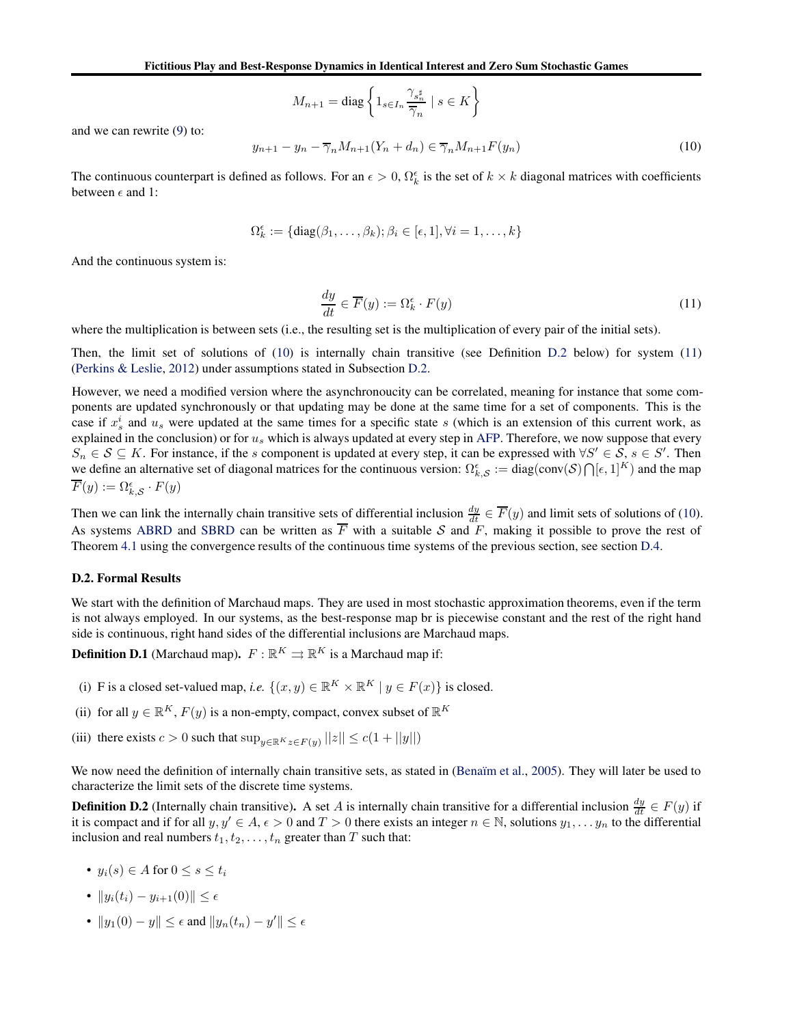$$
M_{n+1} = \text{diag}\left\{1_{s \in I_n} \frac{\gamma_{s_n^{\sharp}}}{\overline{\gamma}_n} \mid s \in K\right\}
$$

and we can rewrite [\(9\)](#page-19-1) to:

<span id="page-20-0"></span>
$$
y_{n+1} - y_n - \overline{\gamma}_n M_{n+1}(Y_n + d_n) \in \overline{\gamma}_n M_{n+1} F(y_n)
$$
\n(10)

The continuous counterpart is defined as follows. For an  $\epsilon > 0$ ,  $\Omega_k^{\epsilon}$  is the set of  $k \times k$  diagonal matrices with coefficients between  $\epsilon$  and 1:

$$
\Omega_k^{\epsilon} := \{ \text{diag}(\beta_1, \dots, \beta_k); \beta_i \in [\epsilon, 1], \forall i = 1, \dots, k \}
$$

<span id="page-20-2"></span>And the continuous system is:

$$
\frac{dy}{dt} \in \overline{F}(y) := \Omega_k^{\epsilon} \cdot F(y) \tag{11}
$$

where the multiplication is between sets (i.e., the resulting set is the multiplication of every pair of the initial sets).

Then, the limit set of solutions of [\(10\)](#page-20-0) is internally chain transitive (see Definition [D.2](#page-20-1) below) for system [\(11\)](#page-20-2) [\(Perkins & Leslie](#page-10-13), [2012](#page-10-13)) under assumptions stated in Subsection [D.2.](#page-20-3)

However, we need a modified version where the asynchronoucity can be correlated, meaning for instance that some components are updated synchronously or that updating may be done at the same time for a set of components. This is the case if  $x_s^i$  and  $u_s$  were updated at the same times for a specific state s (which is an extension of this current work, as explained in the conclusion) or for  $u_s$  which is always updated at every step in [AFP.](#page-4-1) Therefore, we now suppose that every  $S_n \in S \subseteq K$ . For instance, if the s component is updated at every step, it can be expressed with  $\forall S' \in S$ ,  $s \in S'$ . Then we define an alternative set of diagonal matrices for the continuous version:  $\Omega_{k,\mathcal{S}}^{\epsilon} := \text{diag}(\text{conv}(\mathcal{S}) \bigcap [\epsilon,1]^K)$  and the map  $\overline{F}(y) := \Omega_{k,\mathcal{S}}^{\epsilon} \cdot F(y)$ 

Then we can link the internally chain transitive sets of differential inclusion  $\frac{dy}{dt} \in \overline{F}(y)$  and limit sets of solutions of [\(10\)](#page-20-0). As systems [ABRD](#page-6-1) and [SBRD](#page-6-1) can be written as  $\overline{F}$  with a suitable S and  $\overline{F}$ , making it possible to prove the rest of Theorem [4.1](#page-5-1) using the convergence results of the continuous time systems of the previous section, see section [D.4.](#page-22-0)

### <span id="page-20-3"></span>D.2. Formal Results

We start with the definition of Marchaud maps. They are used in most stochastic approximation theorems, even if the term is not always employed. In our systems, as the best-response map br is piecewise constant and the rest of the right hand side is continuous, right hand sides of the differential inclusions are Marchaud maps.

<span id="page-20-4"></span>**Definition D.1** (Marchaud map).  $F : \mathbb{R}^K \rightrightarrows \mathbb{R}^K$  is a Marchaud map if:

- (i) F is a closed set-valued map, *i.e.*  $\{(x, y) \in \mathbb{R}^K \times \mathbb{R}^K | y \in F(x)\}$  is closed.
- (ii) for all  $y \in \mathbb{R}^K$ ,  $F(y)$  is a non-empty, compact, convex subset of  $\mathbb{R}^K$
- (iii) there exists  $c > 0$  such that  $\sup_{y \in \mathbb{R}^K} z \in F(y)$   $||z|| \le c(1 + ||y||)$

We now need the definition of internally chain transitive sets, as stated in (Benaïm et al., [2005\)](#page-8-13). They will later be used to characterize the limit sets of the discrete time systems.

<span id="page-20-1"></span>**Definition D.2** (Internally chain transitive). A set A is internally chain transitive for a differential inclusion  $\frac{dy}{dt} \in F(y)$  if it is compact and if for all  $y, y' \in A$ ,  $\epsilon > 0$  and  $T > 0$  there exists an integer  $n \in \mathbb{N}$ , solutions  $y_1, \ldots, y_n$  to the differential inclusion and real numbers  $t_1, t_2, \ldots, t_n$  greater than T such that:

- $y_i(s) \in A$  for  $0 \leq s \leq t_i$
- $||y_i(t_i) y_{i+1}(0)|| \leq \epsilon$
- $||y_1(0) y|| \le \epsilon$  and  $||y_n(t_n) y'|| \le \epsilon$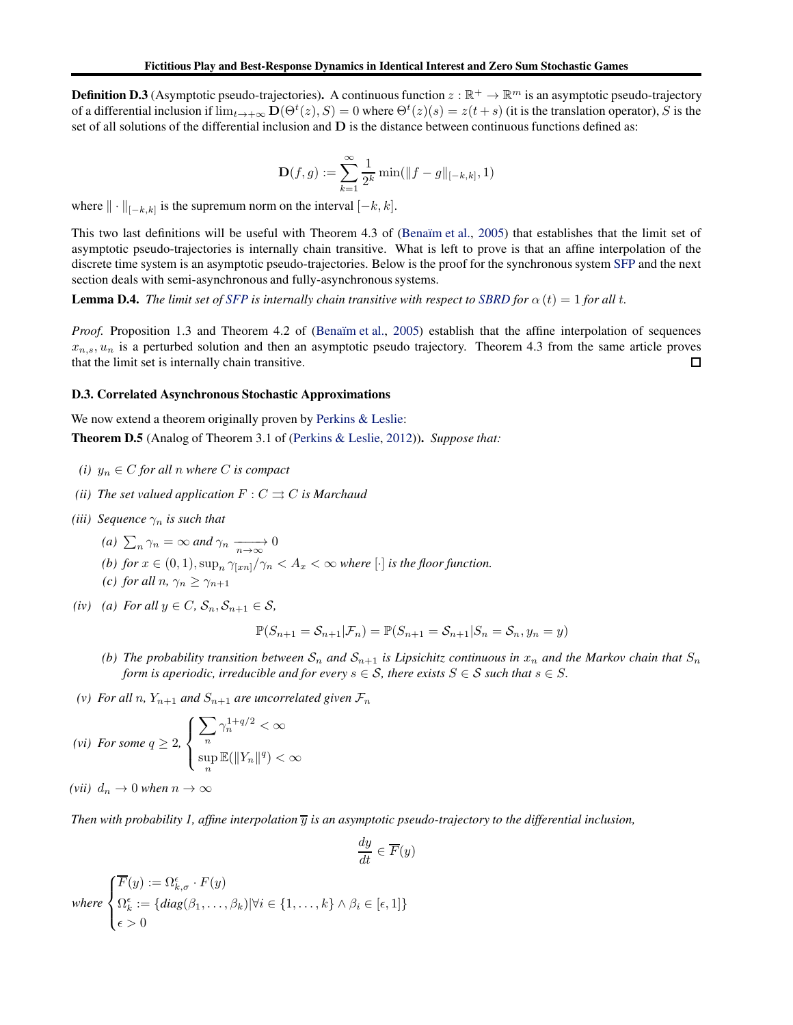**Definition D.3** (Asymptotic pseudo-trajectories). A continuous function  $z : \mathbb{R}^+ \to \mathbb{R}^m$  is an asymptotic pseudo-trajectory of a differential inclusion if  $\lim_{t\to+\infty} D(\Theta^t(z), S) = 0$  where  $\Theta^t(z)(s) = z(t+s)$  (it is the translation operator), S is the set of all solutions of the differential inclusion and D is the distance between continuous functions defined as:

$$
\mathbf{D}(f,g) := \sum_{k=1}^{\infty} \frac{1}{2^k} \min(\|f-g\|_{[-k,k]}, 1)
$$

where  $\|\cdot\|_{[-k,k]}$  is the supremum norm on the interval  $[-k, k]$ .

This two last definitions will be useful with Theorem 4.3 of (Benaïm et al., [2005\)](#page-8-13) that establishes that the limit set of asymptotic pseudo-trajectories is internally chain transitive. What is left to prove is that an affine interpolation of the discrete time system is an asymptotic pseudo-trajectories. Below is the proof for the synchronous system [SFP](#page-4-1) and the next section deals with semi-asynchronous and fully-asynchronous systems.

<span id="page-21-1"></span>**Lemma D.4.** *The limit set of [SFP](#page-4-1) is internally chain transitive with respect to [SBRD](#page-6-1) for*  $\alpha(t) = 1$  *for all t.* 

*Proof.* Proposition 1.3 and Theorem 4.2 of (Benaïm et al., [2005\)](#page-8-13) establish that the affine interpolation of sequences  $x_{n,s}$ ,  $u_n$  is a perturbed solution and then an asymptotic pseudo trajectory. Theorem 4.3 from the same article proves that the limit set is internally chain transitive.  $\Box$ 

### D.3. Correlated Asynchronous Stochastic Approximations

<span id="page-21-0"></span>We now extend a theorem originally proven by [Perkins & Leslie](#page-10-13):

Theorem D.5 (Analog of Theorem 3.1 of [\(Perkins & Leslie,](#page-10-13) [2012\)](#page-10-13)). *Suppose that:*

- *(i)*  $y_n \in C$  *for all n where C is compact*
- *(ii)* The set valued application  $F: C \rightrightarrows C$  is Marchaud
- *(iii)* Sequence  $\gamma_n$  *is such that* 
	- (*a*)  $\sum_{n} \gamma_n = \infty$  *and*  $\gamma_n \xrightarrow[n \to \infty]{} 0$
	- *(b) for*  $x \in (0,1)$ ,  $\sup_n \gamma_{\lfloor xn\rfloor}/\gamma_n < A_x < \infty$  where  $\lfloor \cdot \rfloor$  *is the floor function.*
	- *(c)* for all  $n, \gamma_n \geq \gamma_{n+1}$
- *(iv) (a)* For all  $y \in C$ ,  $S_n$ ,  $S_{n+1} \in S$ ,

$$
\mathbb{P}(S_{n+1} = \mathcal{S}_{n+1}|\mathcal{F}_n) = \mathbb{P}(S_{n+1} = \mathcal{S}_{n+1}|S_n = \mathcal{S}_n, y_n = y)
$$

- *(b) The probability transition between*  $S_n$  *and*  $S_{n+1}$  *is Lipsichitz continuous in*  $x_n$  *and the Markov chain that*  $S_n$ *form is aperiodic, irreducible and for every*  $s \in S$ *, there exists*  $S \in S$  *such that*  $s \in S$ *.*
- *(v)* For all n,  $Y_{n+1}$  and  $S_{n+1}$  are uncorrelated given  $\mathcal{F}_n$

$$
(vi) \ \textit{For some } q \geq 2, \ \begin{cases} \sum_{n} \gamma_n^{1+q/2} < \infty \\ \sup_{n} \mathbb{E}(\|Y_n\|^q) < \infty \end{cases}
$$

*(vii)*  $d_n \to 0$  *when*  $n \to \infty$ 

*Then with probability 1, affine interpolation*  $\overline{y}$  *is an asymptotic pseudo-trajectory to the differential inclusion,* 

$$
\frac{dy}{dt} \in \overline{F}(y)
$$

where 
$$
\begin{cases} \overline{F}(y) := \Omega_{k,\sigma}^{\epsilon} \cdot F(y) \\ \Omega_{k}^{\epsilon} := \{ diag(\beta_1, \dots, \beta_k) | \forall i \in \{1, \dots, k\} \wedge \beta_i \in [\epsilon, 1] \} \\ \epsilon > 0 \end{cases}
$$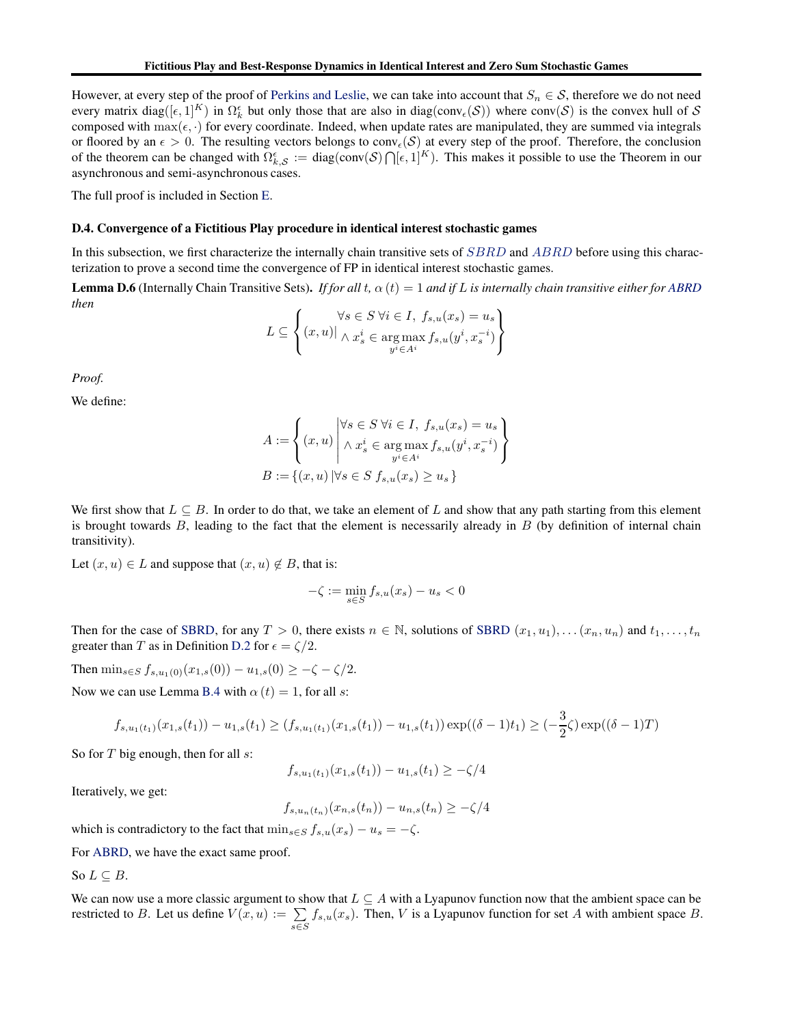However, at every step of the proof of [Perkins and Leslie,](#page-10-13) we can take into account that  $S_n \in \mathcal{S}$ , therefore we do not need every matrix diag( $[\epsilon,1]^K$ ) in  $\Omega_k^{\epsilon}$  but only those that are also in diag(conv $_{\epsilon}(\mathcal{S})$ ) where conv $(\mathcal{S})$  is the convex hull of  $\mathcal{S}$ composed with  $\max(\epsilon, \cdot)$  for every coordinate. Indeed, when update rates are manipulated, they are summed via integrals or floored by an  $\epsilon > 0$ . The resulting vectors belongs to conv<sub> $\epsilon(S)$ </sub> at every step of the proof. Therefore, the conclusion of the theorem can be changed with  $\Omega_{k,\mathcal{S}}^{\epsilon} := \text{diag}(\text{conv}(\mathcal{S}) \bigcap [\epsilon,1]^K)$ . This makes it possible to use the Theorem in our asynchronous and semi-asynchronous cases.

<span id="page-22-0"></span>The full proof is included in Section [E.](#page-24-0)

### D.4. Convergence of a Fictitious Play procedure in identical interest stochastic games

<span id="page-22-1"></span>In this subsection, we first characterize the internally chain transitive sets of [SBRD](#page-6-1) and [ABRD](#page-6-1) before using this characterization to prove a second time the convergence of FP in identical interest stochastic games.

**Lemma D.6** (Internally Chain Transitive Sets). *If for all*  $t$ ,  $\alpha(t) = 1$  *and if* L *is internally chain transitive either for [ABRD](#page-6-1) then*

$$
L \subseteq \left\{ (x, u) | \bigwedge_{x_s \in S} \forall i \in I, f_{s,u}(x_s) = u_s \atop y^i \in A^i} \right\}
$$

*Proof.*

We define:

$$
A := \left\{ (x, u) \middle| \begin{aligned} \forall s \in S \ \forall i \in I, \ f_{s,u}(x_s) = u_s \\ \land \ x_s^i \in \operatorname*{arg\,max}_{y^i \in A^i} f_{s,u}(y^i, x_s^{-i}) \\ B := \{ (x, u) \ | \forall s \in S \ f_{s,u}(x_s) \ge u_s \} \end{aligned} \right\}
$$

We first show that  $L \subseteq B$ . In order to do that, we take an element of L and show that any path starting from this element is brought towards  $B$ , leading to the fact that the element is necessarily already in  $B$  (by definition of internal chain transitivity).

Let  $(x, u) \in L$  and suppose that  $(x, u) \notin B$ , that is:

$$
-\zeta := \min_{s \in S} f_{s,u}(x_s) - u_s < 0
$$

Then for the case of [SBRD,](#page-6-1) for any  $T > 0$ , there exists  $n \in \mathbb{N}$ , solutions of [SBRD](#page-6-1)  $(x_1, u_1), \ldots (x_n, u_n)$  and  $t_1, \ldots, t_n$ greater than T as in Definition [D.2](#page-20-1) for  $\epsilon = \zeta/2$ .

Then  $\min_{s \in S} f_{s,u_1(0)}(x_{1,s}(0)) - u_{1,s}(0) \geq -\zeta - \zeta/2.$ 

Now we can use Lemma [B.4](#page-15-2) with  $\alpha(t) = 1$ , for all s:

$$
f_{s,u_1(t_1)}(x_{1,s}(t_1)) - u_{1,s}(t_1) \ge (f_{s,u_1(t_1)}(x_{1,s}(t_1)) - u_{1,s}(t_1)) \exp((\delta - 1)t_1) \ge (-\frac{3}{2}\zeta) \exp((\delta - 1)T)
$$

So for  $T$  big enough, then for all  $s$ :

$$
f_{s,u_1(t_1)}(x_{1,s}(t_1)) - u_{1,s}(t_1) \ge -\zeta/4
$$

Iteratively, we get:

$$
f_{s,u_n(t_n)}(x_{n,s}(t_n)) - u_{n,s}(t_n) \ge -\zeta/4
$$

which is contradictory to the fact that  $\min_{s \in S} f_{s,u}(x_s) - u_s = -\zeta$ .

For [ABRD,](#page-6-1) we have the exact same proof.

So  $L \subseteq B$ .

We can now use a more classic argument to show that  $L \subset A$  with a Lyapunov function now that the ambient space can be restricted to B. Let us define  $V(x, u) := \sum$ s∈S  $f_{s,u}(x_s)$ . Then, V is a Lyapunov function for set A with ambient space B.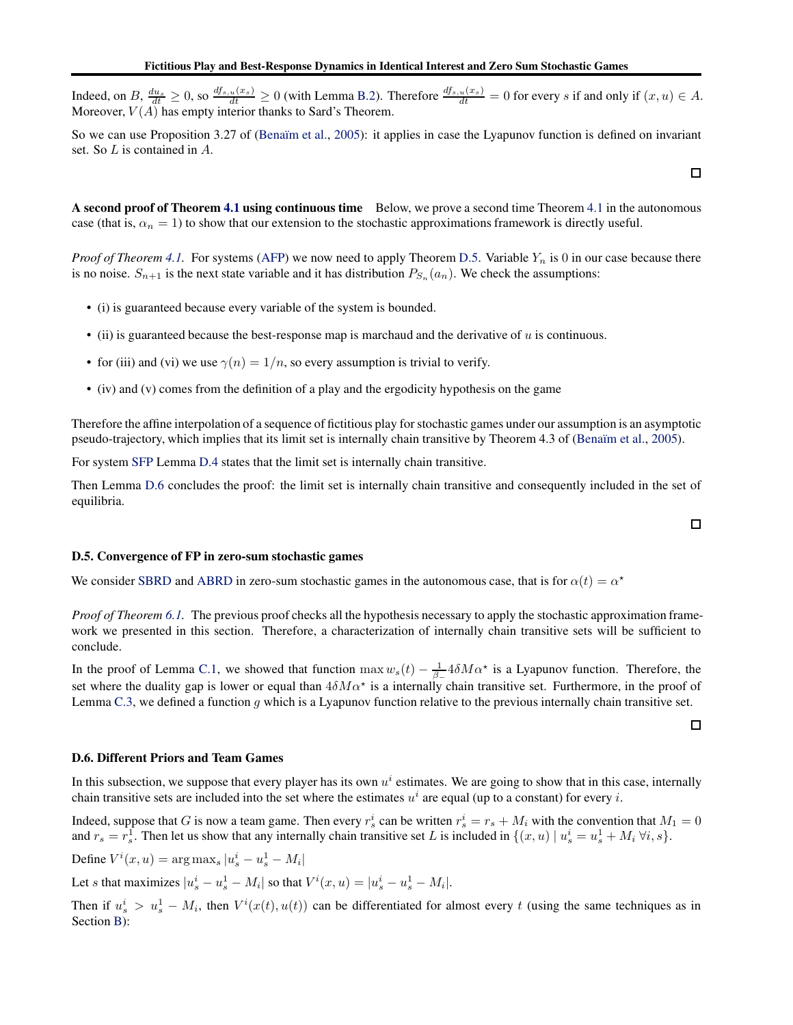Indeed, on B,  $\frac{du_s}{dt} \ge 0$ , so  $\frac{df_{s,u}(x_s)}{dt} \ge 0$  (with Lemma [B.2\)](#page-14-1). Therefore  $\frac{df_{s,u}(x_s)}{dt} = 0$  for every s if and only if  $(x, u) \in A$ . Moreover,  $V(A)$  has empty interior thanks to Sard's Theorem.

So we can use Proposition 3.27 of (Benaïm et al., [2005](#page-8-13)): it applies in case the Lyapunov function is defined on invariant set. So L is contained in A.

A second proof of Theorem [4.1](#page-5-1) using continuous time Below, we prove a second time Theorem [4.1](#page-5-1) in the autonomous case (that is,  $\alpha_n = 1$ ) to show that our extension to the stochastic approximations framework is directly useful.

*Proof of Theorem [4.1.](#page-5-1)* For systems [\(AFP\)](#page-4-1) we now need to apply Theorem [D.5.](#page-21-0) Variable  $Y_n$  is 0 in our case because there is no noise.  $S_{n+1}$  is the next state variable and it has distribution  $P_{S_n}(a_n)$ . We check the assumptions:

- (i) is guaranteed because every variable of the system is bounded.
- $\bullet$  (ii) is guaranteed because the best-response map is marchaud and the derivative of u is continuous.
- for (iii) and (vi) we use  $\gamma(n) = 1/n$ , so every assumption is trivial to verify.
- (iv) and (v) comes from the definition of a play and the ergodicity hypothesis on the game

Therefore the affine interpolation of a sequence of fictitious play for stochastic games under our assumption is an asymptotic pseudo-trajectory, which implies that its limit set is internally chain transitive by Theorem 4.3 of (Benaïm et al., [2005](#page-8-13)).

For system [SFP](#page-4-1) Lemma [D.4](#page-21-1) states that the limit set is internally chain transitive.

Then Lemma [D.6](#page-22-1) concludes the proof: the limit set is internally chain transitive and consequently included in the set of equilibria.

### D.5. Convergence of FP in zero-sum stochastic games

We consider [SBRD](#page-6-1) and [ABRD](#page-6-1) in zero-sum stochastic games in the autonomous case, that is for  $\alpha(t) = \alpha^*$ 

*Proof of Theorem [6.1.](#page-7-0)* The previous proof checks all the hypothesis necessary to apply the stochastic approximation framework we presented in this section. Therefore, a characterization of internally chain transitive sets will be sufficient to conclude.

In the proof of Lemma [C.1,](#page-18-0) we showed that function  $\max w_s(t) - \frac{1}{\beta_-} 4 \delta M \alpha^*$  is a Lyapunov function. Therefore, the set where the duality gap is lower or equal than  $4\delta M\alpha^*$  is a internally chain transitive set. Furthermore, in the proof of Lemma [C.3,](#page-19-2) we defined a function  $g$  which is a Lyapunov function relative to the previous internally chain transitive set.

### <span id="page-23-0"></span>D.6. Different Priors and Team Games

In this subsection, we suppose that every player has its own  $u^i$  estimates. We are going to show that in this case, internally chain transitive sets are included into the set where the estimates  $u^i$  are equal (up to a constant) for every i.

Indeed, suppose that G is now a team game. Then every  $r_s^i$  can be written  $r_s^i = r_s + M_i$  with the convention that  $M_1 = 0$ and  $r_s = r_s^1$ . Then let us show that any internally chain transitive set L is included in  $\{(x, u) | u_s^i = u_s^1 + M_i \forall i, s\}$ .

Define  $V^i(x, u) = \arg \max_s |u_s^i - u_s^1 - M_i|$ 

Let *s* that maximizes  $|u_s^i - u_s^1 - M_i|$  so that  $V^i(x, u) = |u_s^i - u_s^1 - M_i|$ .

Then if  $u_s^i > u_s^1 - M_i$ , then  $V^i(x(t), u(t))$  can be differentiated for almost every t (using the same techniques as in Section **B**):

 $\Box$ 

 $\Box$ 

口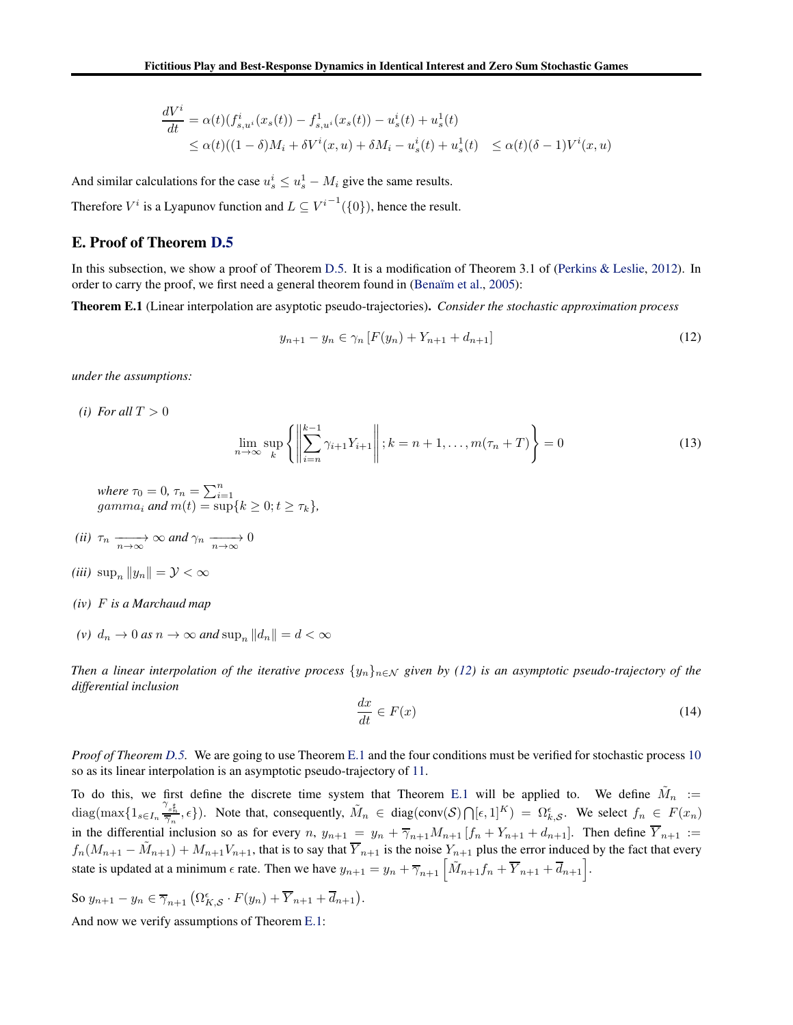$$
\frac{dV^i}{dt} = \alpha(t)(f_{s,u^i}^i(x_s(t)) - f_{s,u^i}^1(x_s(t)) - u_s^i(t) + u_s^1(t)
$$
\n
$$
\leq \alpha(t)((1 - \delta)M_i + \delta V^i(x, u) + \delta M_i - u_s^i(t) + u_s^1(t) \leq \alpha(t)(\delta - 1)V^i(x, u)
$$

And similar calculations for the case  $u_s^i \leq u_s^1 - M_i$  give the same results.

<span id="page-24-0"></span>Therefore  $V^i$  is a Lyapunov function and  $L \subseteq V^{i-1}(\{0\})$ , hence the result.

### E. Proof of Theorem [D.5](#page-21-0)

<span id="page-24-2"></span>In this subsection, we show a proof of Theorem [D.5.](#page-21-0) It is a modification of Theorem 3.1 of [\(Perkins & Leslie,](#page-10-13) [2012](#page-10-13)). In order to carry the proof, we first need a general theorem found in (Benaïm et al., [2005\)](#page-8-13):

Theorem E.1 (Linear interpolation are asyptotic pseudo-trajectories). *Consider the stochastic approximation process*

<span id="page-24-1"></span>
$$
y_{n+1} - y_n \in \gamma_n \left[ F(y_n) + Y_{n+1} + d_{n+1} \right] \tag{12}
$$

*under the assumptions:*

*(i)* For all  $T > 0$ 

$$
\lim_{n \to \infty} \sup_{k} \left\{ \left\| \sum_{i=n}^{k-1} \gamma_{i+1} Y_{i+1} \right\| ; k = n+1, \dots, m(\tau_n + T) \right\} = 0 \tag{13}
$$

*where*  $\tau_0 = 0$ ,  $\tau_n = \sum_{i=1}^n$ <br>*gamma<sub>i</sub> and*  $m(t) = \sup\{k \ge 0; t \ge \tau_k\}$ ,

- (*ii*)  $\tau_n \xrightarrow[n \to \infty]{} \infty$  and  $\gamma_n \xrightarrow[n \to \infty]{} 0$
- *(iii)*  $\sup_n ||y_n|| = \mathcal{Y} < \infty$
- *(iv)* F *is a Marchaud map*
- *(v)*  $d_n \to 0$  *as*  $n \to \infty$  *and* sup<sub>n</sub>  $||d_n|| = d < \infty$

*Then a linear interpolation of the iterative process*  $\{y_n\}_{n\in\mathcal{N}}$  *given by* [\(12\)](#page-24-1) *is an asymptotic pseudo-trajectory of the differential inclusion*

$$
\frac{dx}{dt} \in F(x) \tag{14}
$$

*Proof of Theorem [D.5.](#page-21-0)* We are going to use Theorem [E.1](#page-24-2) and the four conditions must be verified for stochastic process [10](#page-20-0) so as its linear interpolation is an asymptotic pseudo-trajectory of [11.](#page-20-2)

To do this, we first define the discrete time system that Theorem [E.1](#page-24-2) will be applied to. We define  $\tilde{M}_n$  :=  $\text{diag}(\max\{1_{s\in I_n}\frac{\gamma_{s\sharp}^{\text{H}}}{\overline{\gamma_n}},\epsilon\}).$  Note that, consequently,  $\tilde{M}_n \in \text{diag}(\text{conv}(\mathcal{S})\bigcap[\epsilon,1]^K) = \Omega_{k,\mathcal{S}}^{\epsilon}$ . We select  $f_n \in F(x_n)$ in the differential inclusion so as for every  $n, y_{n+1} = y_n + \overline{\gamma}_{n+1}M_{n+1}[f_n + Y_{n+1} + d_{n+1}]$ . Then define  $Y_{n+1} :=$  $f_n(M_{n+1} - \tilde{M}_{n+1}) + M_{n+1}V_{n+1}$ , that is to say that  $\overline{Y}_{n+1}$  is the noise  $Y_{n+1}$  plus the error induced by the fact that every state is updated at a minimum  $\epsilon$  rate. Then we have  $y_{n+1} = y_n + \overline{\gamma}_{n+1} \left[ \tilde{M}_{n+1} f_n + \overline{Y}_{n+1} + \overline{d}_{n+1} \right]$ .

So 
$$
y_{n+1} - y_n \in \overline{\gamma}_{n+1} \left( \Omega_{K,\mathcal{S}}^{\epsilon} \cdot F(y_n) + \overline{Y}_{n+1} + \overline{d}_{n+1} \right)
$$
.

And now we verify assumptions of Theorem [E.1:](#page-24-2)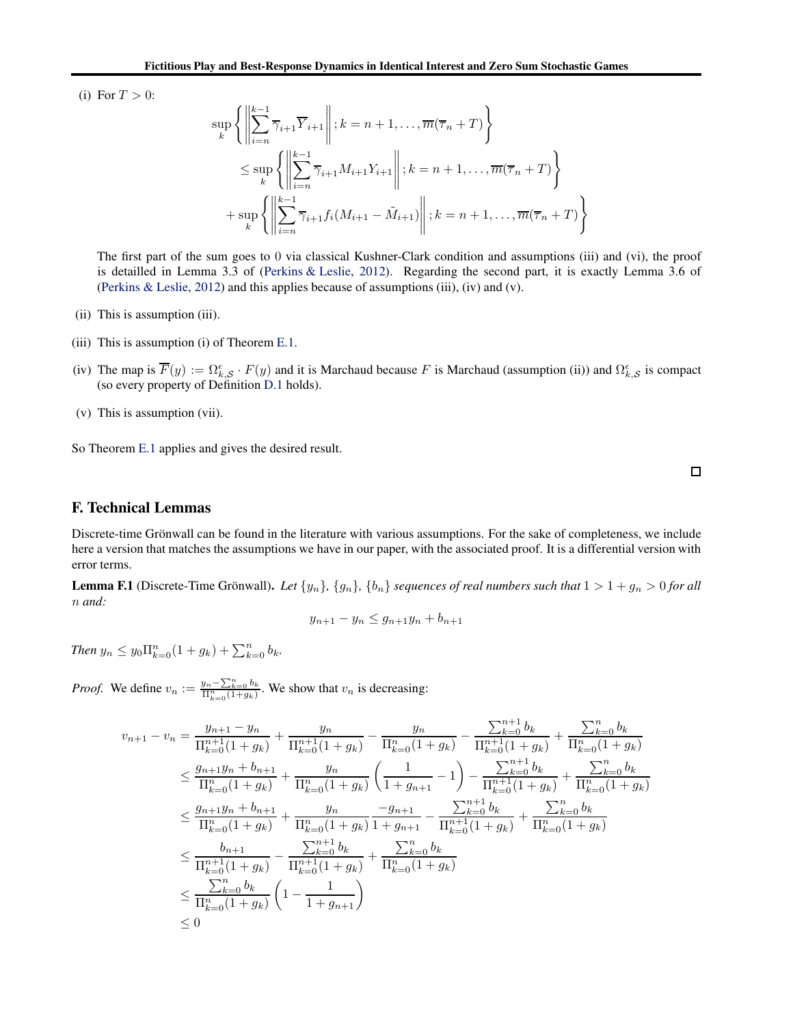(i) For  $T > 0$ :

$$
\sup_{k} \left\{ \left\| \sum_{i=n}^{k-1} \overline{\gamma}_{i+1} \overline{Y}_{i+1} \right\| ; k = n+1, \dots, \overline{m}(\overline{\tau}_{n} + T) \right\}
$$
  
\n
$$
\leq \sup_{k} \left\{ \left\| \sum_{i=n}^{k-1} \overline{\gamma}_{i+1} M_{i+1} Y_{i+1} \right\| ; k = n+1, \dots, \overline{m}(\overline{\tau}_{n} + T) \right\}
$$
  
\n
$$
+ \sup_{k} \left\{ \left\| \sum_{i=n}^{k-1} \overline{\gamma}_{i+1} f_{i} (M_{i+1} - \tilde{M}_{i+1}) \right\| ; k = n+1, \dots, \overline{m}(\overline{\tau}_{n} + T) \right\}
$$

The first part of the sum goes to 0 via classical Kushner-Clark condition and assumptions (iii) and (vi), the proof is detailled in Lemma 3.3 of [\(Perkins & Leslie,](#page-10-13) [2012\)](#page-10-13). Regarding the second part, it is exactly Lemma 3.6 of [\(Perkins & Leslie](#page-10-13), [2012\)](#page-10-13) and this applies because of assumptions (iii), (iv) and (v).

- (ii) This is assumption (iii).
- (iii) This is assumption (i) of Theorem [E.1.](#page-24-2)
- (iv) The map is  $\overline{F}(y) := \Omega_{k,\mathcal{S}}^{\epsilon} \cdot F(y)$  and it is Marchaud because F is Marchaud (assumption (ii)) and  $\Omega_{k,\mathcal{S}}^{\epsilon}$  is compact (so every property of Definition [D.1](#page-20-4) holds).
- (v) This is assumption (vii).

So Theorem [E.1](#page-24-2) applies and gives the desired result.

 $\Box$ 

# F. Technical Lemmas

Discrete-time Grönwall can be found in the literature with various assumptions. For the sake of completeness, we include here a version that matches the assumptions we have in our paper, with the associated proof. It is a differential version with error terms.

<span id="page-25-0"></span>**Lemma F.1** (Discrete-Time Grönwall). Let  $\{y_n\}$ ,  $\{g_n\}$ ,  $\{b_n\}$  sequences of real numbers such that  $1 > 1 + g_n > 0$  for all n *and:*

$$
y_{n+1} - y_n \le g_{n+1}y_n + b_{n+1}
$$

*Then*  $y_n \leq y_0 \prod_{k=0}^n (1+g_k) + \sum_{k=0}^n b_k$ .

*Proof.* We define  $v_n := \frac{y_n - \sum_{k=0}^n b_k}{\prod_{k=0}^n (1+g_k)}$ . We show that  $v_n$  is decreasing:

$$
v_{n+1} - v_n = \frac{y_{n+1} - y_n}{\prod_{k=0}^{n+1} (1 + g_k)} + \frac{y_n}{\prod_{k=0}^{n+1} (1 + g_k)} - \frac{y_n}{\prod_{k=0}^{n}} \frac{y_{n-k-1}}{\prod_{k=0}^{n+1} (1 + g_k)} + \frac{y_n}{\prod_{k=0}^{n+1} (1 + g_k)}
$$
  
\n
$$
\leq \frac{g_{n+1}y_n + b_{n+1}}{\prod_{k=0}^{n} (1 + g_k)} + \frac{y_n}{\prod_{k=0}^{n} (1 + g_k)} \left(\frac{1}{1 + g_{n+1}} - 1\right) - \frac{y_{n+1} - b_k}{\prod_{k=0}^{n+1} (1 + g_k)} + \frac{y_n}{\prod_{k=0}^{n} (1 + g_k)}
$$
  
\n
$$
\leq \frac{g_{n+1}y_n + b_{n+1}}{\prod_{k=0}^{n} (1 + g_k)} + \frac{y_n}{\prod_{k=0}^{n} (1 + g_k)} \frac{-g_{n+1}}{1 + g_{n+1}} - \frac{y_{n+1} - b_k}{\prod_{k=0}^{n+1} (1 + g_k)} + \frac{y_n}{\prod_{k=0}^{n} (1 + g_k)}
$$
  
\n
$$
\leq \frac{b_{n+1}}{\prod_{k=0}^{n+1} (1 + g_k)} - \frac{y_{n+1} - b_k}{\prod_{k=0}^{n+1} (1 + g_k)} + \frac{y_n}{\prod_{k=0}^{n} (1 + g_k)}
$$
  
\n
$$
\leq \frac{y_n}{\prod_{k=0}^{n+1} (1 + g_k)} \left(1 - \frac{1}{1 + g_{n+1}}\right)
$$
  
\n
$$
\leq 0
$$